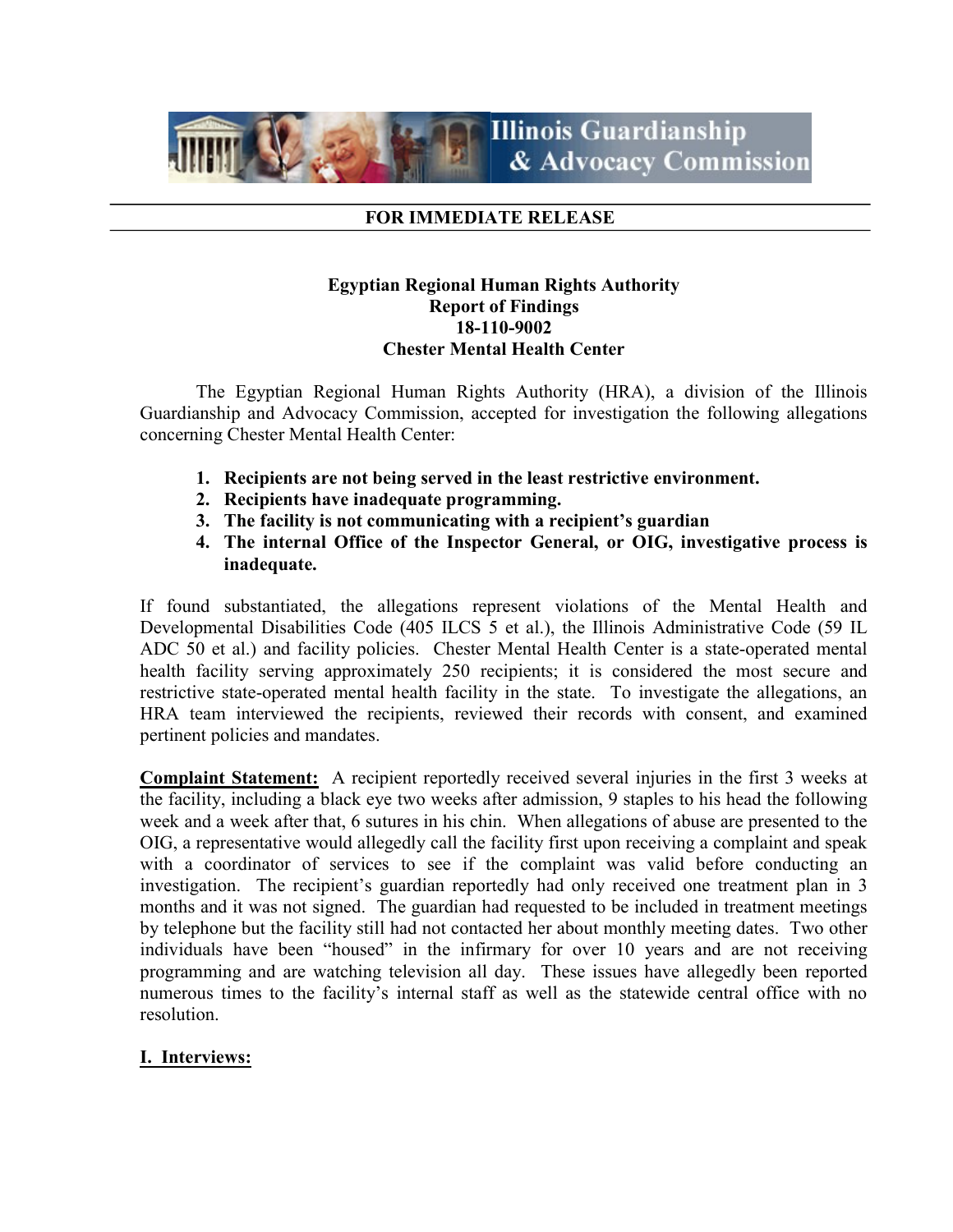

#### FOR IMMEDIATE RELEASE

### Egyptian Regional Human Rights Authority Report of Findings 18-110-9002 Chester Mental Health Center

 The Egyptian Regional Human Rights Authority (HRA), a division of the Illinois Guardianship and Advocacy Commission, accepted for investigation the following allegations concerning Chester Mental Health Center:

- 1. Recipients are not being served in the least restrictive environment.
- 2. Recipients have inadequate programming.
- 3. The facility is not communicating with a recipient's guardian
- 4. The internal Office of the Inspector General, or OIG, investigative process is inadequate.

If found substantiated, the allegations represent violations of the Mental Health and Developmental Disabilities Code (405 ILCS 5 et al.), the Illinois Administrative Code (59 IL ADC 50 et al.) and facility policies. Chester Mental Health Center is a state-operated mental health facility serving approximately 250 recipients; it is considered the most secure and restrictive state-operated mental health facility in the state. To investigate the allegations, an HRA team interviewed the recipients, reviewed their records with consent, and examined pertinent policies and mandates.

Complaint Statement: A recipient reportedly received several injuries in the first 3 weeks at the facility, including a black eye two weeks after admission, 9 staples to his head the following week and a week after that, 6 sutures in his chin. When allegations of abuse are presented to the OIG, a representative would allegedly call the facility first upon receiving a complaint and speak with a coordinator of services to see if the complaint was valid before conducting an investigation. The recipient's guardian reportedly had only received one treatment plan in 3 months and it was not signed. The guardian had requested to be included in treatment meetings by telephone but the facility still had not contacted her about monthly meeting dates. Two other individuals have been "housed" in the infirmary for over 10 years and are not receiving programming and are watching television all day. These issues have allegedly been reported numerous times to the facility's internal staff as well as the statewide central office with no resolution.

### I. Interviews: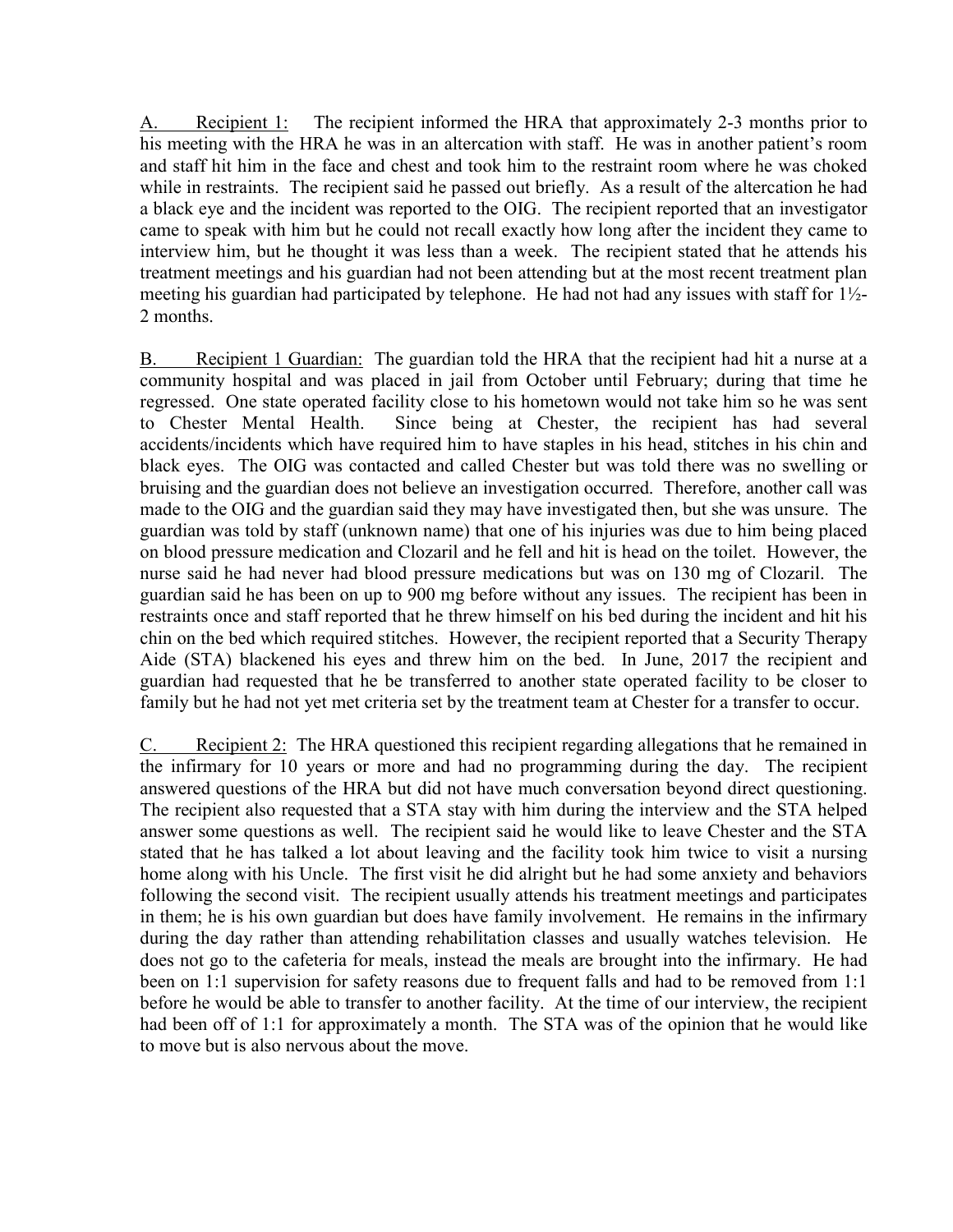A. Recipient 1: The recipient informed the HRA that approximately 2-3 months prior to his meeting with the HRA he was in an altercation with staff. He was in another patient's room and staff hit him in the face and chest and took him to the restraint room where he was choked while in restraints. The recipient said he passed out briefly. As a result of the altercation he had a black eye and the incident was reported to the OIG. The recipient reported that an investigator came to speak with him but he could not recall exactly how long after the incident they came to interview him, but he thought it was less than a week. The recipient stated that he attends his treatment meetings and his guardian had not been attending but at the most recent treatment plan meeting his guardian had participated by telephone. He had not had any issues with staff for  $1\frac{1}{2}$ -2 months.

B. Recipient 1 Guardian: The guardian told the HRA that the recipient had hit a nurse at a community hospital and was placed in jail from October until February; during that time he regressed. One state operated facility close to his hometown would not take him so he was sent to Chester Mental Health. Since being at Chester, the recipient has had several accidents/incidents which have required him to have staples in his head, stitches in his chin and black eyes. The OIG was contacted and called Chester but was told there was no swelling or bruising and the guardian does not believe an investigation occurred. Therefore, another call was made to the OIG and the guardian said they may have investigated then, but she was unsure. The guardian was told by staff (unknown name) that one of his injuries was due to him being placed on blood pressure medication and Clozaril and he fell and hit is head on the toilet. However, the nurse said he had never had blood pressure medications but was on 130 mg of Clozaril. The guardian said he has been on up to 900 mg before without any issues. The recipient has been in restraints once and staff reported that he threw himself on his bed during the incident and hit his chin on the bed which required stitches. However, the recipient reported that a Security Therapy Aide (STA) blackened his eyes and threw him on the bed. In June, 2017 the recipient and guardian had requested that he be transferred to another state operated facility to be closer to family but he had not yet met criteria set by the treatment team at Chester for a transfer to occur.

C. Recipient 2: The HRA questioned this recipient regarding allegations that he remained in the infirmary for 10 years or more and had no programming during the day. The recipient answered questions of the HRA but did not have much conversation beyond direct questioning. The recipient also requested that a STA stay with him during the interview and the STA helped answer some questions as well. The recipient said he would like to leave Chester and the STA stated that he has talked a lot about leaving and the facility took him twice to visit a nursing home along with his Uncle. The first visit he did alright but he had some anxiety and behaviors following the second visit. The recipient usually attends his treatment meetings and participates in them; he is his own guardian but does have family involvement. He remains in the infirmary during the day rather than attending rehabilitation classes and usually watches television. He does not go to the cafeteria for meals, instead the meals are brought into the infirmary. He had been on 1:1 supervision for safety reasons due to frequent falls and had to be removed from 1:1 before he would be able to transfer to another facility. At the time of our interview, the recipient had been off of 1:1 for approximately a month. The STA was of the opinion that he would like to move but is also nervous about the move.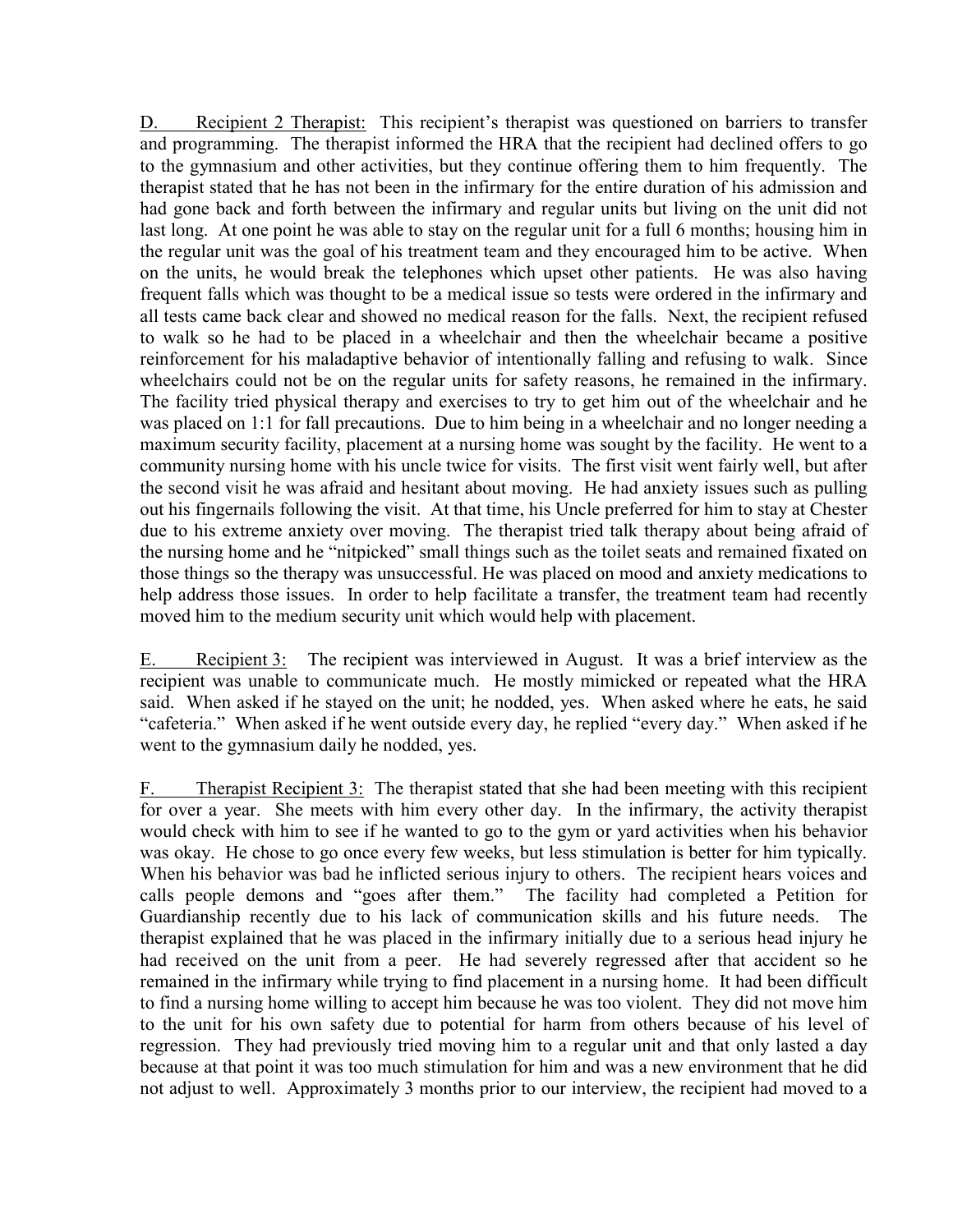D. Recipient 2 Therapist: This recipient's therapist was questioned on barriers to transfer and programming. The therapist informed the HRA that the recipient had declined offers to go to the gymnasium and other activities, but they continue offering them to him frequently. The therapist stated that he has not been in the infirmary for the entire duration of his admission and had gone back and forth between the infirmary and regular units but living on the unit did not last long. At one point he was able to stay on the regular unit for a full 6 months; housing him in the regular unit was the goal of his treatment team and they encouraged him to be active. When on the units, he would break the telephones which upset other patients. He was also having frequent falls which was thought to be a medical issue so tests were ordered in the infirmary and all tests came back clear and showed no medical reason for the falls. Next, the recipient refused to walk so he had to be placed in a wheelchair and then the wheelchair became a positive reinforcement for his maladaptive behavior of intentionally falling and refusing to walk. Since wheelchairs could not be on the regular units for safety reasons, he remained in the infirmary. The facility tried physical therapy and exercises to try to get him out of the wheelchair and he was placed on 1:1 for fall precautions. Due to him being in a wheelchair and no longer needing a maximum security facility, placement at a nursing home was sought by the facility. He went to a community nursing home with his uncle twice for visits. The first visit went fairly well, but after the second visit he was afraid and hesitant about moving. He had anxiety issues such as pulling out his fingernails following the visit. At that time, his Uncle preferred for him to stay at Chester due to his extreme anxiety over moving. The therapist tried talk therapy about being afraid of the nursing home and he "nitpicked" small things such as the toilet seats and remained fixated on those things so the therapy was unsuccessful. He was placed on mood and anxiety medications to help address those issues. In order to help facilitate a transfer, the treatment team had recently moved him to the medium security unit which would help with placement.

E. Recipient 3: The recipient was interviewed in August. It was a brief interview as the recipient was unable to communicate much. He mostly mimicked or repeated what the HRA said. When asked if he stayed on the unit; he nodded, yes. When asked where he eats, he said "cafeteria." When asked if he went outside every day, he replied "every day." When asked if he went to the gymnasium daily he nodded, yes.

F. Therapist Recipient 3: The therapist stated that she had been meeting with this recipient for over a year. She meets with him every other day. In the infirmary, the activity therapist would check with him to see if he wanted to go to the gym or yard activities when his behavior was okay. He chose to go once every few weeks, but less stimulation is better for him typically. When his behavior was bad he inflicted serious injury to others. The recipient hears voices and calls people demons and "goes after them." The facility had completed a Petition for Guardianship recently due to his lack of communication skills and his future needs. The therapist explained that he was placed in the infirmary initially due to a serious head injury he had received on the unit from a peer. He had severely regressed after that accident so he remained in the infirmary while trying to find placement in a nursing home. It had been difficult to find a nursing home willing to accept him because he was too violent. They did not move him to the unit for his own safety due to potential for harm from others because of his level of regression. They had previously tried moving him to a regular unit and that only lasted a day because at that point it was too much stimulation for him and was a new environment that he did not adjust to well. Approximately 3 months prior to our interview, the recipient had moved to a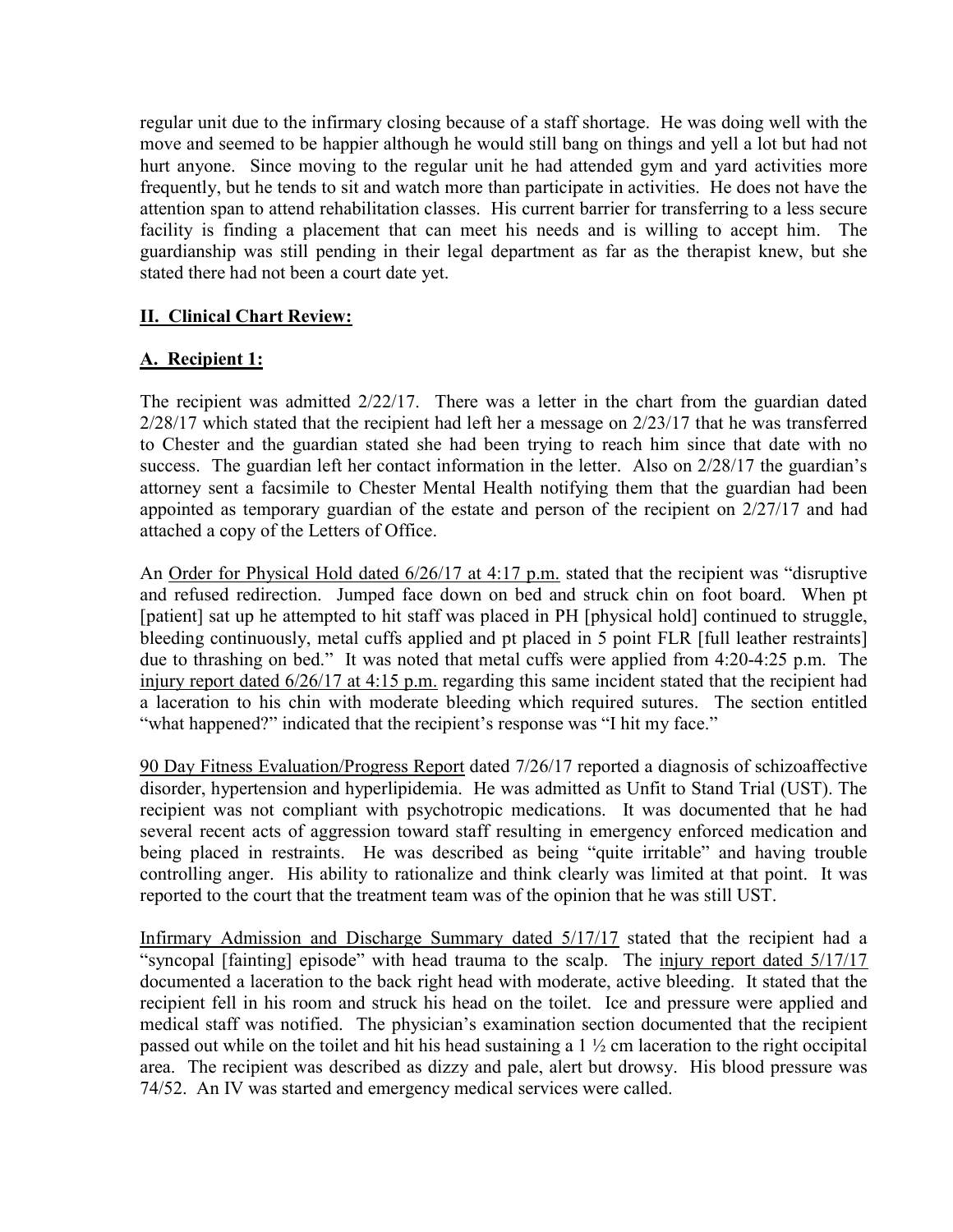regular unit due to the infirmary closing because of a staff shortage. He was doing well with the move and seemed to be happier although he would still bang on things and yell a lot but had not hurt anyone. Since moving to the regular unit he had attended gym and yard activities more frequently, but he tends to sit and watch more than participate in activities. He does not have the attention span to attend rehabilitation classes. His current barrier for transferring to a less secure facility is finding a placement that can meet his needs and is willing to accept him. The guardianship was still pending in their legal department as far as the therapist knew, but she stated there had not been a court date yet.

# II. Clinical Chart Review:

# A. Recipient 1:

The recipient was admitted 2/22/17. There was a letter in the chart from the guardian dated 2/28/17 which stated that the recipient had left her a message on 2/23/17 that he was transferred to Chester and the guardian stated she had been trying to reach him since that date with no success. The guardian left her contact information in the letter. Also on 2/28/17 the guardian's attorney sent a facsimile to Chester Mental Health notifying them that the guardian had been appointed as temporary guardian of the estate and person of the recipient on 2/27/17 and had attached a copy of the Letters of Office.

An Order for Physical Hold dated 6/26/17 at 4:17 p.m. stated that the recipient was "disruptive and refused redirection. Jumped face down on bed and struck chin on foot board. When pt [patient] sat up he attempted to hit staff was placed in PH [physical hold] continued to struggle, bleeding continuously, metal cuffs applied and pt placed in 5 point FLR [full leather restraints] due to thrashing on bed." It was noted that metal cuffs were applied from 4:20-4:25 p.m. The injury report dated 6/26/17 at 4:15 p.m. regarding this same incident stated that the recipient had a laceration to his chin with moderate bleeding which required sutures. The section entitled "what happened?" indicated that the recipient's response was "I hit my face."

90 Day Fitness Evaluation/Progress Report dated 7/26/17 reported a diagnosis of schizoaffective disorder, hypertension and hyperlipidemia. He was admitted as Unfit to Stand Trial (UST). The recipient was not compliant with psychotropic medications. It was documented that he had several recent acts of aggression toward staff resulting in emergency enforced medication and being placed in restraints. He was described as being "quite irritable" and having trouble controlling anger. His ability to rationalize and think clearly was limited at that point. It was reported to the court that the treatment team was of the opinion that he was still UST.

Infirmary Admission and Discharge Summary dated 5/17/17 stated that the recipient had a "syncopal [fainting] episode" with head trauma to the scalp. The injury report dated 5/17/17 documented a laceration to the back right head with moderate, active bleeding. It stated that the recipient fell in his room and struck his head on the toilet. Ice and pressure were applied and medical staff was notified. The physician's examination section documented that the recipient passed out while on the toilet and hit his head sustaining a  $1\frac{1}{2}$  cm laceration to the right occipital area. The recipient was described as dizzy and pale, alert but drowsy. His blood pressure was 74/52. An IV was started and emergency medical services were called.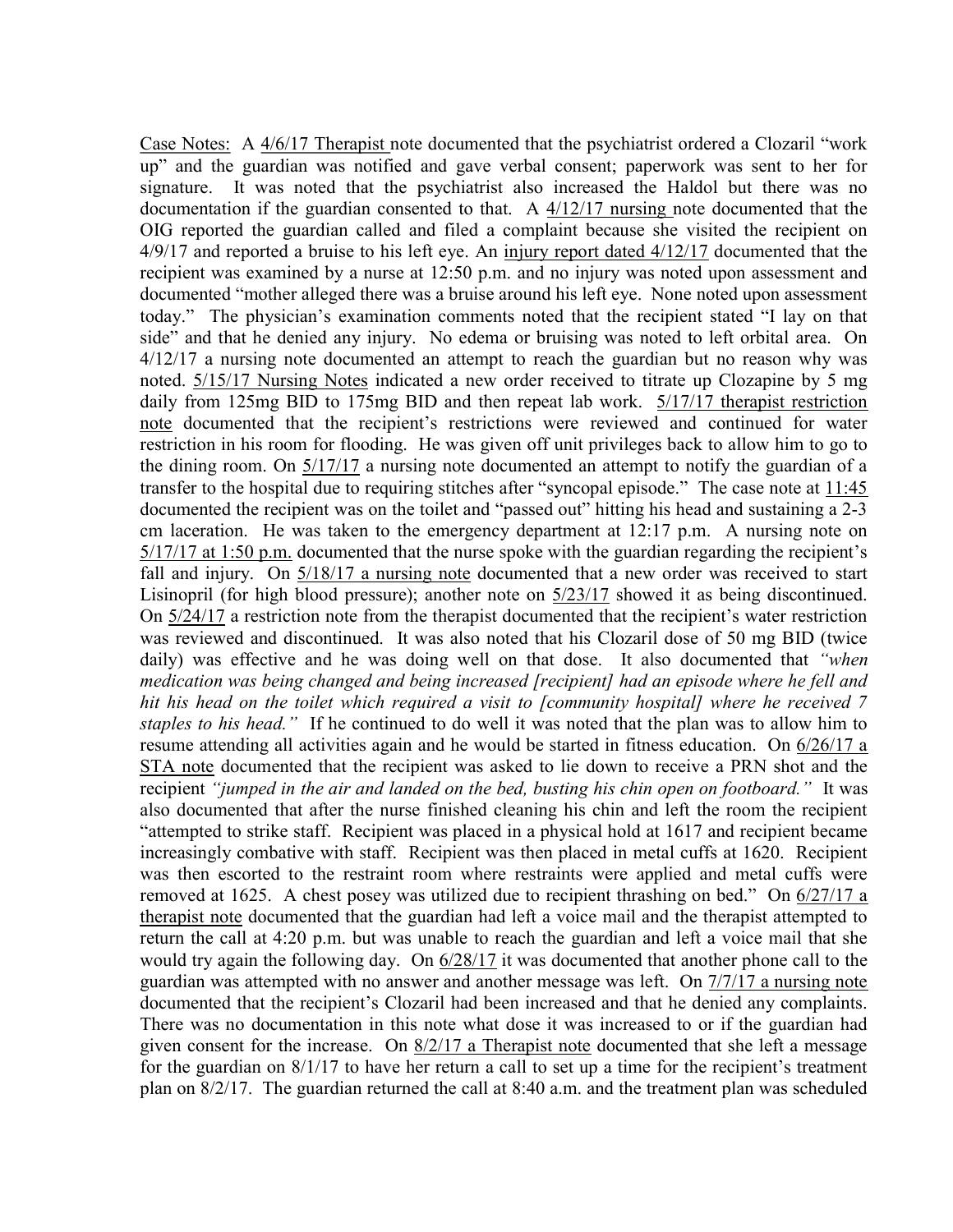Case Notes: A 4/6/17 Therapist note documented that the psychiatrist ordered a Clozaril "work up" and the guardian was notified and gave verbal consent; paperwork was sent to her for signature. It was noted that the psychiatrist also increased the Haldol but there was no documentation if the guardian consented to that. A 4/12/17 nursing note documented that the OIG reported the guardian called and filed a complaint because she visited the recipient on 4/9/17 and reported a bruise to his left eye. An injury report dated 4/12/17 documented that the recipient was examined by a nurse at 12:50 p.m. and no injury was noted upon assessment and documented "mother alleged there was a bruise around his left eye. None noted upon assessment today." The physician's examination comments noted that the recipient stated "I lay on that side" and that he denied any injury. No edema or bruising was noted to left orbital area. On 4/12/17 a nursing note documented an attempt to reach the guardian but no reason why was noted. 5/15/17 Nursing Notes indicated a new order received to titrate up Clozapine by 5 mg daily from 125mg BID to 175mg BID and then repeat lab work. 5/17/17 therapist restriction note documented that the recipient's restrictions were reviewed and continued for water restriction in his room for flooding. He was given off unit privileges back to allow him to go to the dining room. On 5/17/17 a nursing note documented an attempt to notify the guardian of a transfer to the hospital due to requiring stitches after "syncopal episode." The case note at 11:45 documented the recipient was on the toilet and "passed out" hitting his head and sustaining a 2-3 cm laceration. He was taken to the emergency department at 12:17 p.m. A nursing note on 5/17/17 at 1:50 p.m. documented that the nurse spoke with the guardian regarding the recipient's fall and injury. On 5/18/17 a nursing note documented that a new order was received to start Lisinopril (for high blood pressure); another note on 5/23/17 showed it as being discontinued. On 5/24/17 a restriction note from the therapist documented that the recipient's water restriction was reviewed and discontinued. It was also noted that his Clozaril dose of 50 mg BID (twice daily) was effective and he was doing well on that dose. It also documented that "when medication was being changed and being increased [recipient] had an episode where he fell and hit his head on the toilet which required a visit to [community hospital] where he received 7 staples to his head." If he continued to do well it was noted that the plan was to allow him to resume attending all activities again and he would be started in fitness education. On 6/26/17 a STA note documented that the recipient was asked to lie down to receive a PRN shot and the recipient "jumped in the air and landed on the bed, busting his chin open on footboard." It was also documented that after the nurse finished cleaning his chin and left the room the recipient "attempted to strike staff. Recipient was placed in a physical hold at 1617 and recipient became increasingly combative with staff. Recipient was then placed in metal cuffs at 1620. Recipient was then escorted to the restraint room where restraints were applied and metal cuffs were removed at 1625. A chest posey was utilized due to recipient thrashing on bed." On  $6/27/17$  a therapist note documented that the guardian had left a voice mail and the therapist attempted to return the call at 4:20 p.m. but was unable to reach the guardian and left a voice mail that she would try again the following day. On 6/28/17 it was documented that another phone call to the guardian was attempted with no answer and another message was left. On 7/7/17 a nursing note documented that the recipient's Clozaril had been increased and that he denied any complaints. There was no documentation in this note what dose it was increased to or if the guardian had given consent for the increase. On 8/2/17 a Therapist note documented that she left a message for the guardian on 8/1/17 to have her return a call to set up a time for the recipient's treatment plan on 8/2/17. The guardian returned the call at 8:40 a.m. and the treatment plan was scheduled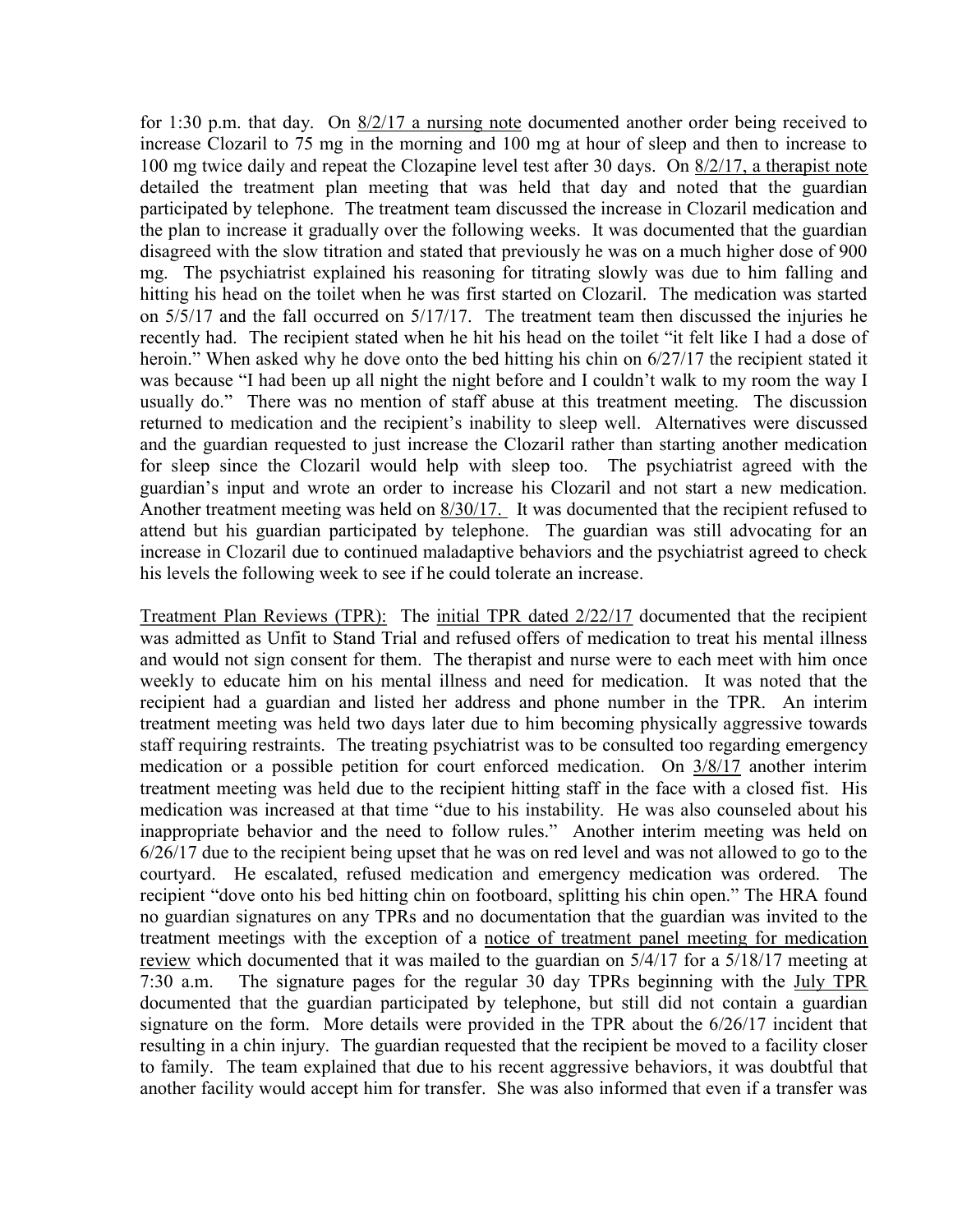for 1:30 p.m. that day. On 8/2/17 a nursing note documented another order being received to increase Clozaril to 75 mg in the morning and 100 mg at hour of sleep and then to increase to 100 mg twice daily and repeat the Clozapine level test after 30 days. On 8/2/17, a therapist note detailed the treatment plan meeting that was held that day and noted that the guardian participated by telephone. The treatment team discussed the increase in Clozaril medication and the plan to increase it gradually over the following weeks. It was documented that the guardian disagreed with the slow titration and stated that previously he was on a much higher dose of 900 mg. The psychiatrist explained his reasoning for titrating slowly was due to him falling and hitting his head on the toilet when he was first started on Clozaril. The medication was started on 5/5/17 and the fall occurred on 5/17/17. The treatment team then discussed the injuries he recently had. The recipient stated when he hit his head on the toilet "it felt like I had a dose of heroin." When asked why he dove onto the bed hitting his chin on 6/27/17 the recipient stated it was because "I had been up all night the night before and I couldn't walk to my room the way I usually do." There was no mention of staff abuse at this treatment meeting. The discussion returned to medication and the recipient's inability to sleep well. Alternatives were discussed and the guardian requested to just increase the Clozaril rather than starting another medication for sleep since the Clozaril would help with sleep too. The psychiatrist agreed with the guardian's input and wrote an order to increase his Clozaril and not start a new medication. Another treatment meeting was held on  $\frac{8}{30/17}$ . It was documented that the recipient refused to attend but his guardian participated by telephone. The guardian was still advocating for an increase in Clozaril due to continued maladaptive behaviors and the psychiatrist agreed to check his levels the following week to see if he could tolerate an increase.

Treatment Plan Reviews (TPR): The initial TPR dated 2/22/17 documented that the recipient was admitted as Unfit to Stand Trial and refused offers of medication to treat his mental illness and would not sign consent for them. The therapist and nurse were to each meet with him once weekly to educate him on his mental illness and need for medication. It was noted that the recipient had a guardian and listed her address and phone number in the TPR. An interim treatment meeting was held two days later due to him becoming physically aggressive towards staff requiring restraints. The treating psychiatrist was to be consulted too regarding emergency medication or a possible petition for court enforced medication. On 3/8/17 another interim treatment meeting was held due to the recipient hitting staff in the face with a closed fist. His medication was increased at that time "due to his instability. He was also counseled about his inappropriate behavior and the need to follow rules." Another interim meeting was held on 6/26/17 due to the recipient being upset that he was on red level and was not allowed to go to the courtyard. He escalated, refused medication and emergency medication was ordered. The recipient "dove onto his bed hitting chin on footboard, splitting his chin open." The HRA found no guardian signatures on any TPRs and no documentation that the guardian was invited to the treatment meetings with the exception of a notice of treatment panel meeting for medication review which documented that it was mailed to the guardian on 5/4/17 for a 5/18/17 meeting at 7:30 a.m. The signature pages for the regular 30 day TPRs beginning with the July TPR documented that the guardian participated by telephone, but still did not contain a guardian signature on the form. More details were provided in the TPR about the 6/26/17 incident that resulting in a chin injury. The guardian requested that the recipient be moved to a facility closer to family. The team explained that due to his recent aggressive behaviors, it was doubtful that another facility would accept him for transfer. She was also informed that even if a transfer was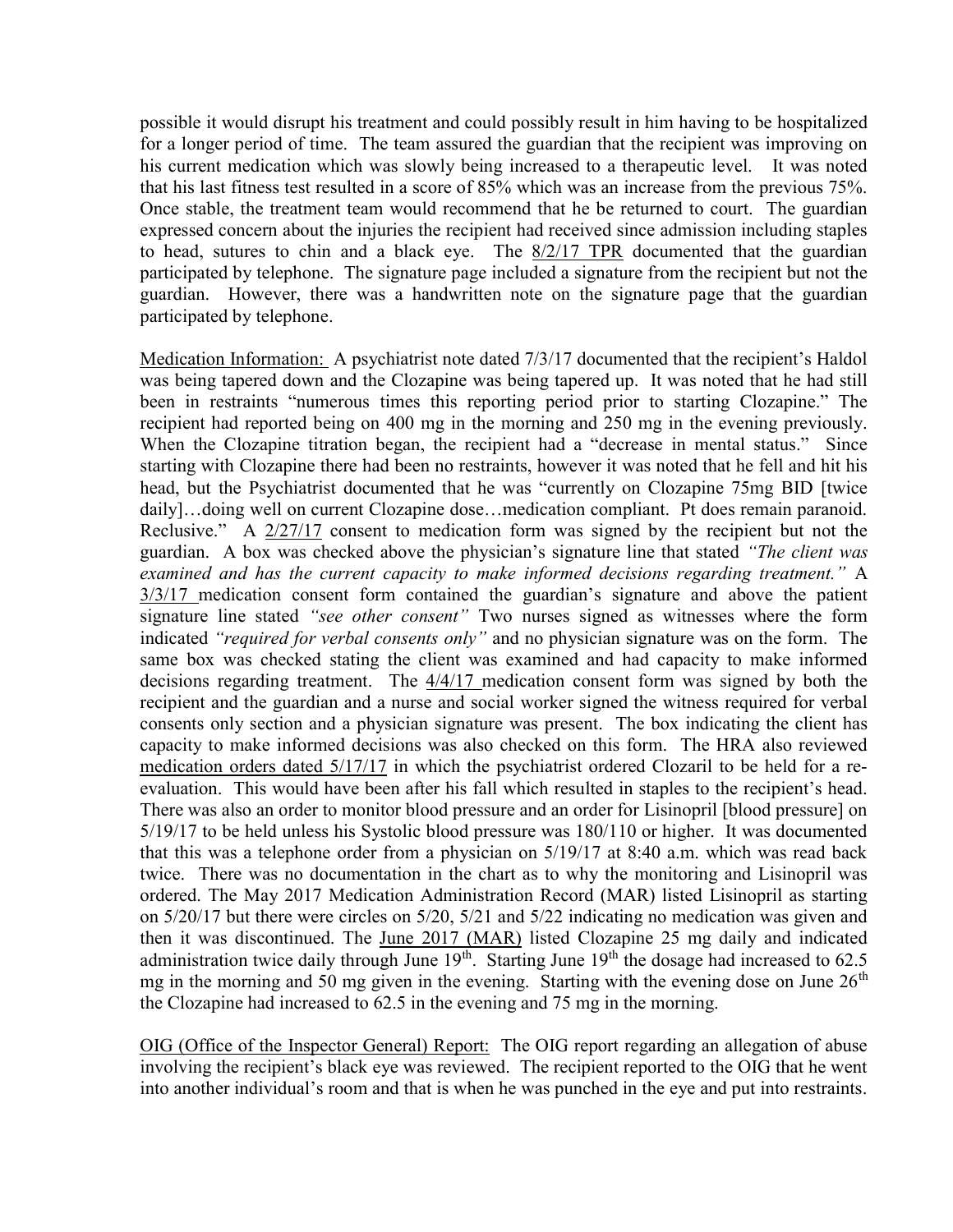possible it would disrupt his treatment and could possibly result in him having to be hospitalized for a longer period of time. The team assured the guardian that the recipient was improving on his current medication which was slowly being increased to a therapeutic level. It was noted that his last fitness test resulted in a score of 85% which was an increase from the previous 75%. Once stable, the treatment team would recommend that he be returned to court. The guardian expressed concern about the injuries the recipient had received since admission including staples to head, sutures to chin and a black eye. The 8/2/17 TPR documented that the guardian participated by telephone. The signature page included a signature from the recipient but not the guardian. However, there was a handwritten note on the signature page that the guardian participated by telephone.

Medication Information: A psychiatrist note dated 7/3/17 documented that the recipient's Haldol was being tapered down and the Clozapine was being tapered up. It was noted that he had still been in restraints "numerous times this reporting period prior to starting Clozapine." The recipient had reported being on 400 mg in the morning and 250 mg in the evening previously. When the Clozapine titration began, the recipient had a "decrease in mental status." Since starting with Clozapine there had been no restraints, however it was noted that he fell and hit his head, but the Psychiatrist documented that he was "currently on Clozapine 75mg BID [twice daily]...doing well on current Clozapine dose...medication compliant. Pt does remain paranoid. Reclusive." A 2/27/17 consent to medication form was signed by the recipient but not the guardian. A box was checked above the physician's signature line that stated "The client was examined and has the current capacity to make informed decisions regarding treatment." A 3/3/17 medication consent form contained the guardian's signature and above the patient signature line stated "see other consent" Two nurses signed as witnesses where the form indicated "required for verbal consents only" and no physician signature was on the form. The same box was checked stating the client was examined and had capacity to make informed decisions regarding treatment. The 4/4/17 medication consent form was signed by both the recipient and the guardian and a nurse and social worker signed the witness required for verbal consents only section and a physician signature was present. The box indicating the client has capacity to make informed decisions was also checked on this form. The HRA also reviewed medication orders dated 5/17/17 in which the psychiatrist ordered Clozaril to be held for a reevaluation. This would have been after his fall which resulted in staples to the recipient's head. There was also an order to monitor blood pressure and an order for Lisinopril [blood pressure] on 5/19/17 to be held unless his Systolic blood pressure was 180/110 or higher. It was documented that this was a telephone order from a physician on 5/19/17 at 8:40 a.m. which was read back twice. There was no documentation in the chart as to why the monitoring and Lisinopril was ordered. The May 2017 Medication Administration Record (MAR) listed Lisinopril as starting on 5/20/17 but there were circles on 5/20, 5/21 and 5/22 indicating no medication was given and then it was discontinued. The June 2017 (MAR) listed Clozapine 25 mg daily and indicated administration twice daily through June  $19<sup>th</sup>$ . Starting June  $19<sup>th</sup>$  the dosage had increased to 62.5 mg in the morning and 50 mg given in the evening. Starting with the evening dose on June  $26<sup>th</sup>$ the Clozapine had increased to 62.5 in the evening and 75 mg in the morning.

OIG (Office of the Inspector General) Report: The OIG report regarding an allegation of abuse involving the recipient's black eye was reviewed. The recipient reported to the OIG that he went into another individual's room and that is when he was punched in the eye and put into restraints.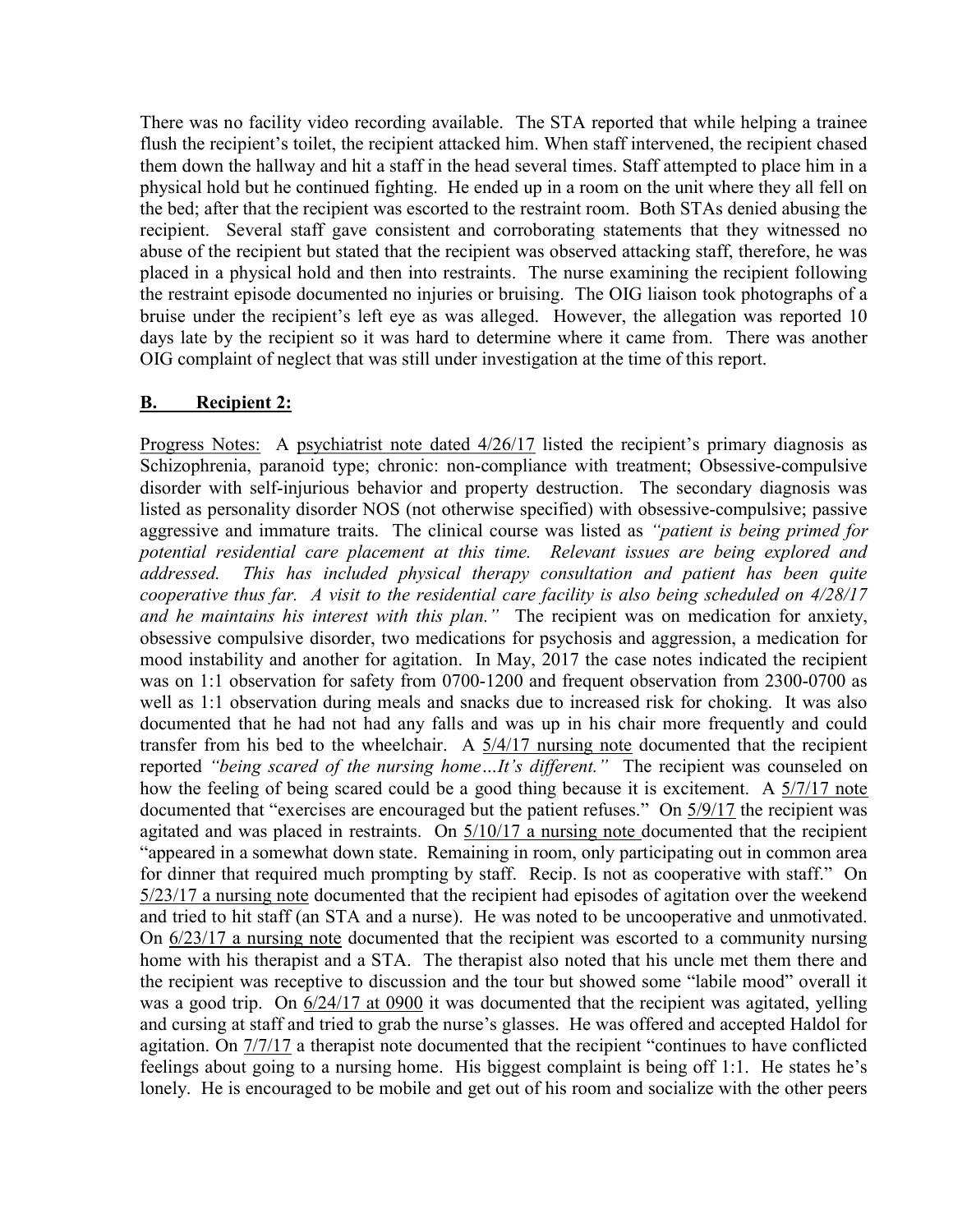There was no facility video recording available. The STA reported that while helping a trainee flush the recipient's toilet, the recipient attacked him. When staff intervened, the recipient chased them down the hallway and hit a staff in the head several times. Staff attempted to place him in a physical hold but he continued fighting. He ended up in a room on the unit where they all fell on the bed; after that the recipient was escorted to the restraint room. Both STAs denied abusing the recipient. Several staff gave consistent and corroborating statements that they witnessed no abuse of the recipient but stated that the recipient was observed attacking staff, therefore, he was placed in a physical hold and then into restraints. The nurse examining the recipient following the restraint episode documented no injuries or bruising. The OIG liaison took photographs of a bruise under the recipient's left eye as was alleged. However, the allegation was reported 10 days late by the recipient so it was hard to determine where it came from. There was another OIG complaint of neglect that was still under investigation at the time of this report.

## B. Recipient 2:

Progress Notes: A psychiatrist note dated 4/26/17 listed the recipient's primary diagnosis as Schizophrenia, paranoid type; chronic: non-compliance with treatment; Obsessive-compulsive disorder with self-injurious behavior and property destruction. The secondary diagnosis was listed as personality disorder NOS (not otherwise specified) with obsessive-compulsive; passive aggressive and immature traits. The clinical course was listed as "patient is being primed for potential residential care placement at this time. Relevant issues are being explored and addressed. This has included physical therapy consultation and patient has been quite cooperative thus far. A visit to the residential care facility is also being scheduled on 4/28/17 and he maintains his interest with this plan." The recipient was on medication for anxiety, obsessive compulsive disorder, two medications for psychosis and aggression, a medication for mood instability and another for agitation. In May, 2017 the case notes indicated the recipient was on 1:1 observation for safety from 0700-1200 and frequent observation from 2300-0700 as well as 1:1 observation during meals and snacks due to increased risk for choking. It was also documented that he had not had any falls and was up in his chair more frequently and could transfer from his bed to the wheelchair. A 5/4/17 nursing note documented that the recipient reported "being scared of the nursing home...It's different." The recipient was counseled on how the feeling of being scared could be a good thing because it is excitement. A  $\frac{5}{7}{17}$  note documented that "exercises are encouraged but the patient refuses." On 5/9/17 the recipient was agitated and was placed in restraints. On 5/10/17 a nursing note documented that the recipient "appeared in a somewhat down state. Remaining in room, only participating out in common area for dinner that required much prompting by staff. Recip. Is not as cooperative with staff." On 5/23/17 a nursing note documented that the recipient had episodes of agitation over the weekend and tried to hit staff (an STA and a nurse). He was noted to be uncooperative and unmotivated. On 6/23/17 a nursing note documented that the recipient was escorted to a community nursing home with his therapist and a STA. The therapist also noted that his uncle met them there and the recipient was receptive to discussion and the tour but showed some "labile mood" overall it was a good trip. On  $6/24/17$  at 0900 it was documented that the recipient was agitated, yelling and cursing at staff and tried to grab the nurse's glasses. He was offered and accepted Haldol for agitation. On 7/7/17 a therapist note documented that the recipient "continues to have conflicted feelings about going to a nursing home. His biggest complaint is being off 1:1. He states he's lonely. He is encouraged to be mobile and get out of his room and socialize with the other peers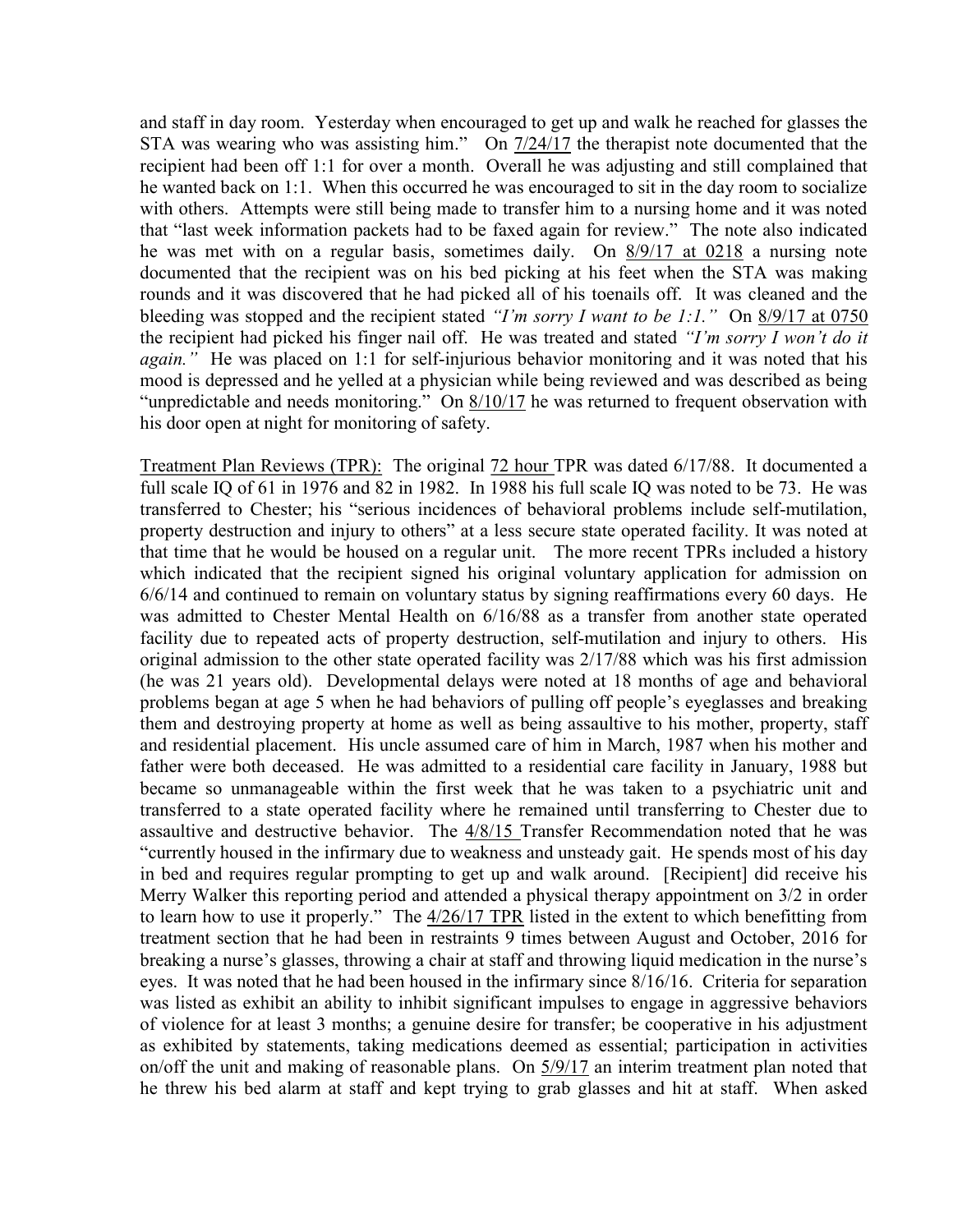and staff in day room. Yesterday when encouraged to get up and walk he reached for glasses the STA was wearing who was assisting him." On  $\frac{7}{24/17}$  the therapist note documented that the recipient had been off 1:1 for over a month. Overall he was adjusting and still complained that he wanted back on 1:1. When this occurred he was encouraged to sit in the day room to socialize with others. Attempts were still being made to transfer him to a nursing home and it was noted that "last week information packets had to be faxed again for review." The note also indicated he was met with on a regular basis, sometimes daily. On 8/9/17 at 0218 a nursing note documented that the recipient was on his bed picking at his feet when the STA was making rounds and it was discovered that he had picked all of his toenails off. It was cleaned and the bleeding was stopped and the recipient stated "I'm sorry I want to be 1:1." On  $\frac{8}{9}{17}$  at 0750 the recipient had picked his finger nail off. He was treated and stated "I'm sorry I won't do it again." He was placed on 1:1 for self-injurious behavior monitoring and it was noted that his mood is depressed and he yelled at a physician while being reviewed and was described as being "unpredictable and needs monitoring." On  $\frac{8}{10/17}$  he was returned to frequent observation with his door open at night for monitoring of safety.

Treatment Plan Reviews (TPR): The original 72 hour TPR was dated 6/17/88. It documented a full scale IQ of 61 in 1976 and 82 in 1982. In 1988 his full scale IQ was noted to be 73. He was transferred to Chester; his "serious incidences of behavioral problems include self-mutilation, property destruction and injury to others" at a less secure state operated facility. It was noted at that time that he would be housed on a regular unit. The more recent TPRs included a history which indicated that the recipient signed his original voluntary application for admission on 6/6/14 and continued to remain on voluntary status by signing reaffirmations every 60 days. He was admitted to Chester Mental Health on 6/16/88 as a transfer from another state operated facility due to repeated acts of property destruction, self-mutilation and injury to others. His original admission to the other state operated facility was 2/17/88 which was his first admission (he was 21 years old). Developmental delays were noted at 18 months of age and behavioral problems began at age 5 when he had behaviors of pulling off people's eyeglasses and breaking them and destroying property at home as well as being assaultive to his mother, property, staff and residential placement. His uncle assumed care of him in March, 1987 when his mother and father were both deceased. He was admitted to a residential care facility in January, 1988 but became so unmanageable within the first week that he was taken to a psychiatric unit and transferred to a state operated facility where he remained until transferring to Chester due to assaultive and destructive behavior. The 4/8/15 Transfer Recommendation noted that he was "currently housed in the infirmary due to weakness and unsteady gait. He spends most of his day in bed and requires regular prompting to get up and walk around. [Recipient] did receive his Merry Walker this reporting period and attended a physical therapy appointment on 3/2 in order to learn how to use it properly." The 4/26/17 TPR listed in the extent to which benefitting from treatment section that he had been in restraints 9 times between August and October, 2016 for breaking a nurse's glasses, throwing a chair at staff and throwing liquid medication in the nurse's eyes. It was noted that he had been housed in the infirmary since 8/16/16. Criteria for separation was listed as exhibit an ability to inhibit significant impulses to engage in aggressive behaviors of violence for at least 3 months; a genuine desire for transfer; be cooperative in his adjustment as exhibited by statements, taking medications deemed as essential; participation in activities on/off the unit and making of reasonable plans. On  $\frac{5}{9/17}$  an interim treatment plan noted that he threw his bed alarm at staff and kept trying to grab glasses and hit at staff. When asked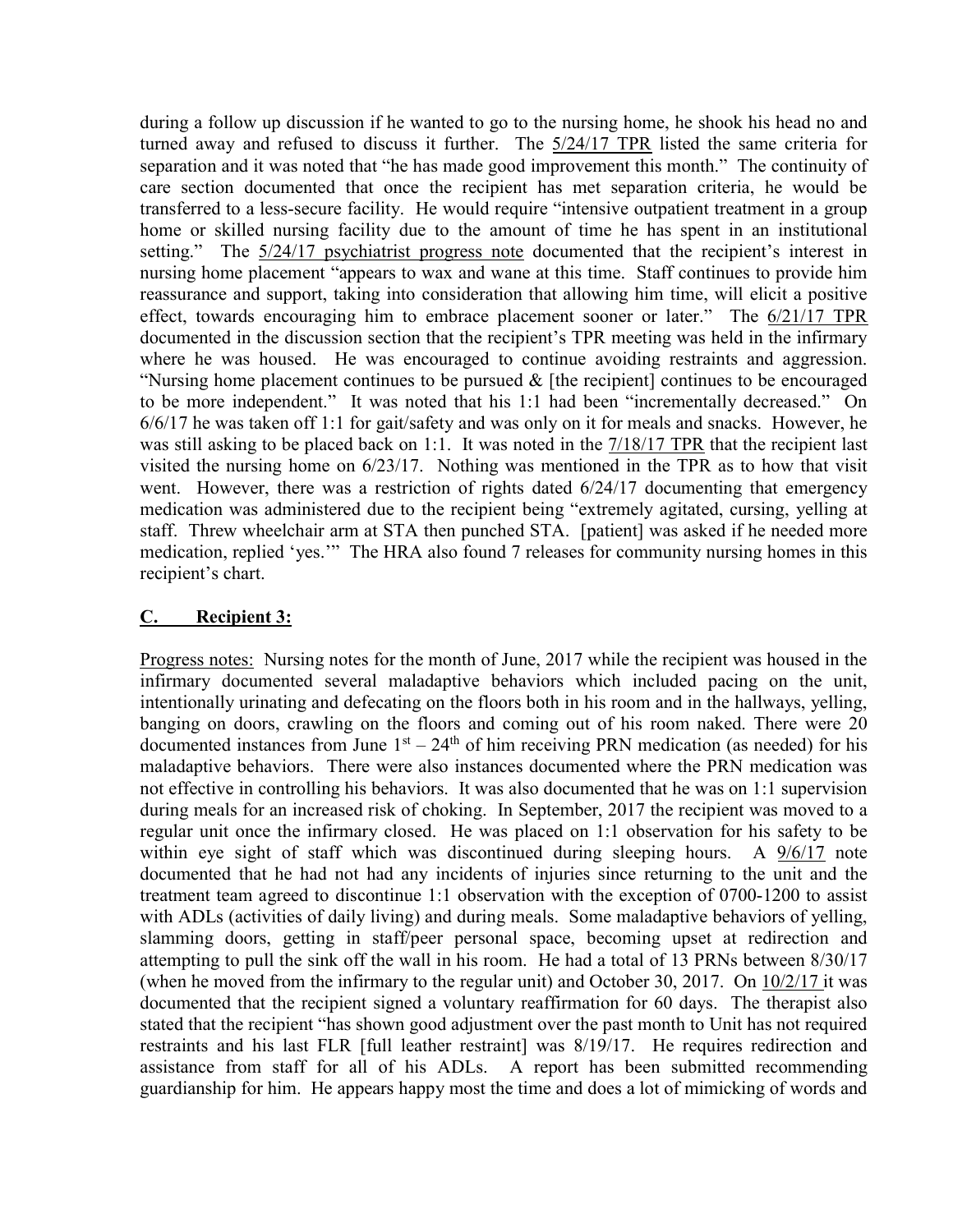during a follow up discussion if he wanted to go to the nursing home, he shook his head no and turned away and refused to discuss it further. The 5/24/17 TPR listed the same criteria for separation and it was noted that "he has made good improvement this month." The continuity of care section documented that once the recipient has met separation criteria, he would be transferred to a less-secure facility. He would require "intensive outpatient treatment in a group home or skilled nursing facility due to the amount of time he has spent in an institutional setting." The  $5/24/17$  psychiatrist progress note documented that the recipient's interest in nursing home placement "appears to wax and wane at this time. Staff continues to provide him reassurance and support, taking into consideration that allowing him time, will elicit a positive effect, towards encouraging him to embrace placement sooner or later." The 6/21/17 TPR documented in the discussion section that the recipient's TPR meeting was held in the infirmary where he was housed. He was encouraged to continue avoiding restraints and aggression. "Nursing home placement continues to be pursued  $\&$  [the recipient] continues to be encouraged to be more independent." It was noted that his 1:1 had been "incrementally decreased." On 6/6/17 he was taken off 1:1 for gait/safety and was only on it for meals and snacks. However, he was still asking to be placed back on 1:1. It was noted in the 7/18/17 TPR that the recipient last visited the nursing home on 6/23/17. Nothing was mentioned in the TPR as to how that visit went. However, there was a restriction of rights dated 6/24/17 documenting that emergency medication was administered due to the recipient being "extremely agitated, cursing, yelling at staff. Threw wheelchair arm at STA then punched STA. [patient] was asked if he needed more medication, replied 'yes.'" The HRA also found 7 releases for community nursing homes in this recipient's chart.

## C. Recipient 3:

Progress notes: Nursing notes for the month of June, 2017 while the recipient was housed in the infirmary documented several maladaptive behaviors which included pacing on the unit, intentionally urinating and defecating on the floors both in his room and in the hallways, yelling, banging on doors, crawling on the floors and coming out of his room naked. There were 20 documented instances from June  $1<sup>st</sup> - 24<sup>th</sup>$  of him receiving PRN medication (as needed) for his maladaptive behaviors. There were also instances documented where the PRN medication was not effective in controlling his behaviors. It was also documented that he was on 1:1 supervision during meals for an increased risk of choking. In September, 2017 the recipient was moved to a regular unit once the infirmary closed. He was placed on 1:1 observation for his safety to be within eye sight of staff which was discontinued during sleeping hours. A 9/6/17 note documented that he had not had any incidents of injuries since returning to the unit and the treatment team agreed to discontinue 1:1 observation with the exception of 0700-1200 to assist with ADLs (activities of daily living) and during meals. Some maladaptive behaviors of yelling, slamming doors, getting in staff/peer personal space, becoming upset at redirection and attempting to pull the sink off the wall in his room. He had a total of 13 PRNs between 8/30/17 (when he moved from the infirmary to the regular unit) and October 30, 2017. On 10/2/17 it was documented that the recipient signed a voluntary reaffirmation for 60 days. The therapist also stated that the recipient "has shown good adjustment over the past month to Unit has not required restraints and his last FLR [full leather restraint] was 8/19/17. He requires redirection and assistance from staff for all of his ADLs. A report has been submitted recommending guardianship for him. He appears happy most the time and does a lot of mimicking of words and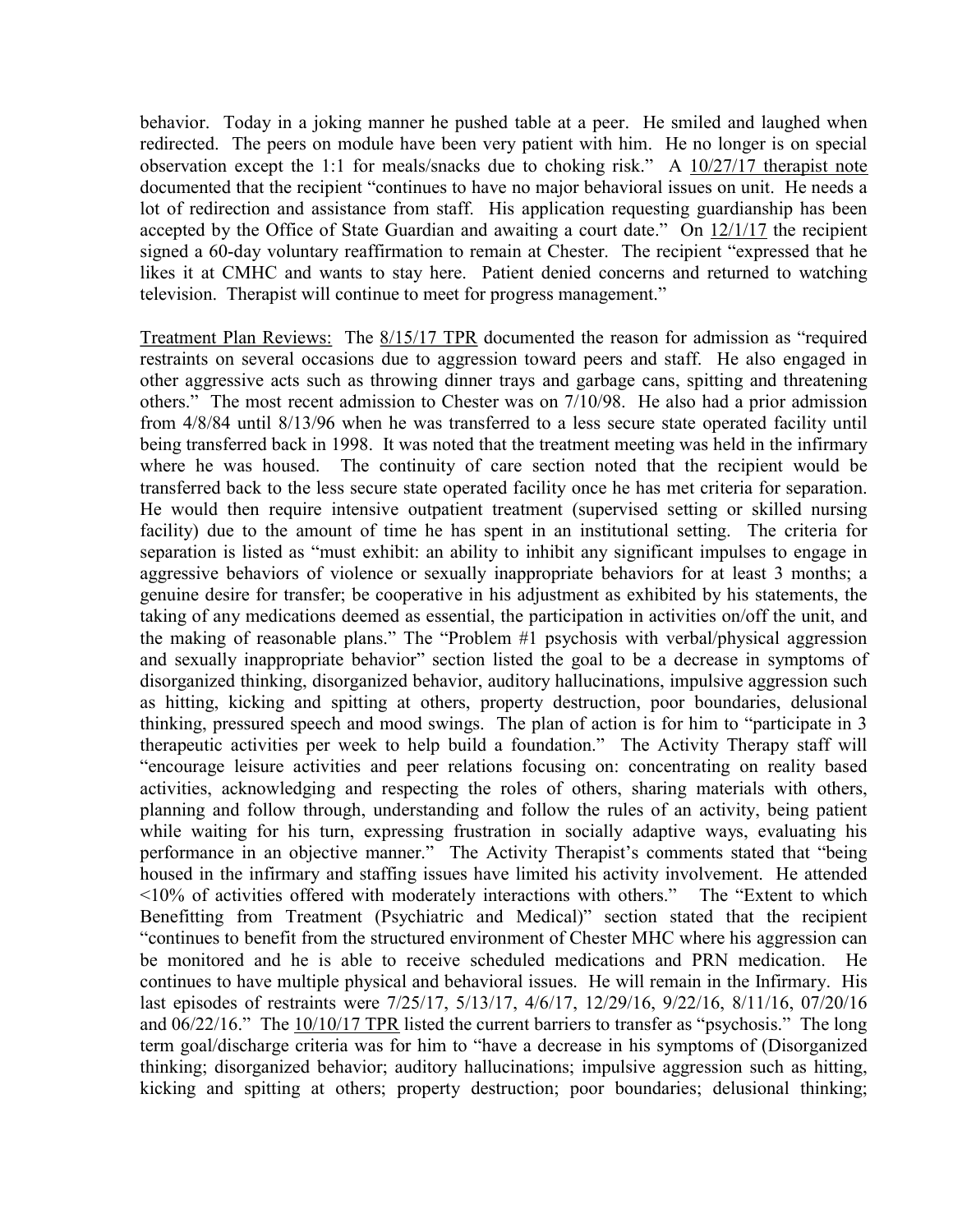behavior. Today in a joking manner he pushed table at a peer. He smiled and laughed when redirected. The peers on module have been very patient with him. He no longer is on special observation except the 1:1 for meals/snacks due to choking risk." A 10/27/17 therapist note documented that the recipient "continues to have no major behavioral issues on unit. He needs a lot of redirection and assistance from staff. His application requesting guardianship has been accepted by the Office of State Guardian and awaiting a court date." On  $12/1/17$  the recipient signed a 60-day voluntary reaffirmation to remain at Chester. The recipient "expressed that he likes it at CMHC and wants to stay here. Patient denied concerns and returned to watching television. Therapist will continue to meet for progress management."

Treatment Plan Reviews: The 8/15/17 TPR documented the reason for admission as "required restraints on several occasions due to aggression toward peers and staff. He also engaged in other aggressive acts such as throwing dinner trays and garbage cans, spitting and threatening others." The most recent admission to Chester was on 7/10/98. He also had a prior admission from 4/8/84 until 8/13/96 when he was transferred to a less secure state operated facility until being transferred back in 1998. It was noted that the treatment meeting was held in the infirmary where he was housed. The continuity of care section noted that the recipient would be transferred back to the less secure state operated facility once he has met criteria for separation. He would then require intensive outpatient treatment (supervised setting or skilled nursing facility) due to the amount of time he has spent in an institutional setting. The criteria for separation is listed as "must exhibit: an ability to inhibit any significant impulses to engage in aggressive behaviors of violence or sexually inappropriate behaviors for at least 3 months; a genuine desire for transfer; be cooperative in his adjustment as exhibited by his statements, the taking of any medications deemed as essential, the participation in activities on/off the unit, and the making of reasonable plans." The "Problem #1 psychosis with verbal/physical aggression and sexually inappropriate behavior" section listed the goal to be a decrease in symptoms of disorganized thinking, disorganized behavior, auditory hallucinations, impulsive aggression such as hitting, kicking and spitting at others, property destruction, poor boundaries, delusional thinking, pressured speech and mood swings. The plan of action is for him to "participate in 3 therapeutic activities per week to help build a foundation." The Activity Therapy staff will "encourage leisure activities and peer relations focusing on: concentrating on reality based activities, acknowledging and respecting the roles of others, sharing materials with others, planning and follow through, understanding and follow the rules of an activity, being patient while waiting for his turn, expressing frustration in socially adaptive ways, evaluating his performance in an objective manner." The Activity Therapist's comments stated that "being housed in the infirmary and staffing issues have limited his activity involvement. He attended <10% of activities offered with moderately interactions with others." The "Extent to which Benefitting from Treatment (Psychiatric and Medical)" section stated that the recipient "continues to benefit from the structured environment of Chester MHC where his aggression can be monitored and he is able to receive scheduled medications and PRN medication. He continues to have multiple physical and behavioral issues. He will remain in the Infirmary. His last episodes of restraints were 7/25/17, 5/13/17, 4/6/17, 12/29/16, 9/22/16, 8/11/16, 07/20/16 and 06/22/16." The 10/10/17 TPR listed the current barriers to transfer as "psychosis." The long term goal/discharge criteria was for him to "have a decrease in his symptoms of (Disorganized thinking; disorganized behavior; auditory hallucinations; impulsive aggression such as hitting, kicking and spitting at others; property destruction; poor boundaries; delusional thinking;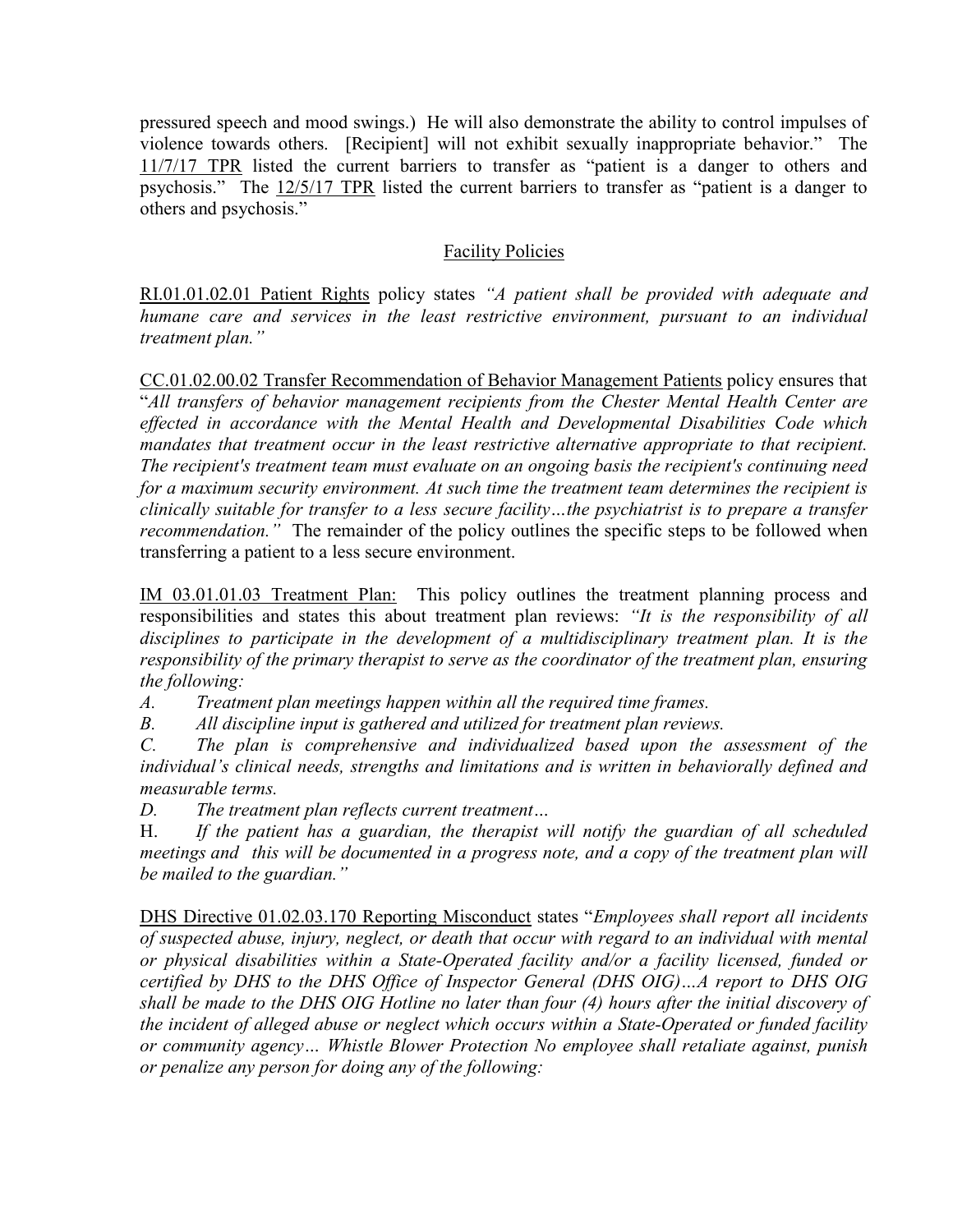pressured speech and mood swings.) He will also demonstrate the ability to control impulses of violence towards others. [Recipient] will not exhibit sexually inappropriate behavior." The 11/7/17 TPR listed the current barriers to transfer as "patient is a danger to others and psychosis." The 12/5/17 TPR listed the current barriers to transfer as "patient is a danger to others and psychosis."

## Facility Policies

RI.01.01.02.01 Patient Rights policy states "A patient shall be provided with adequate and humane care and services in the least restrictive environment, pursuant to an individual treatment plan."

CC.01.02.00.02 Transfer Recommendation of Behavior Management Patients policy ensures that "All transfers of behavior management recipients from the Chester Mental Health Center are effected in accordance with the Mental Health and Developmental Disabilities Code which mandates that treatment occur in the least restrictive alternative appropriate to that recipient. The recipient's treatment team must evaluate on an ongoing basis the recipient's continuing need for a maximum security environment. At such time the treatment team determines the recipient is clinically suitable for transfer to a less secure facility…the psychiatrist is to prepare a transfer recommendation." The remainder of the policy outlines the specific steps to be followed when transferring a patient to a less secure environment.

IM 03.01.01.03 Treatment Plan: This policy outlines the treatment planning process and responsibilities and states this about treatment plan reviews: "It is the responsibility of all disciplines to participate in the development of a multidisciplinary treatment plan. It is the responsibility of the primary therapist to serve as the coordinator of the treatment plan, ensuring the following:

A. Treatment plan meetings happen within all the required time frames.

B. All discipline input is gathered and utilized for treatment plan reviews.

C. The plan is comprehensive and individualized based upon the assessment of the individual's clinical needs, strengths and limitations and is written in behaviorally defined and measurable terms.

D. The treatment plan reflects current treatment…

H. If the patient has a guardian, the therapist will notify the guardian of all scheduled meetings and this will be documented in a progress note, and a copy of the treatment plan will be mailed to the guardian."

DHS Directive 01.02.03.170 Reporting Misconduct states "Employees shall report all incidents of suspected abuse, injury, neglect, or death that occur with regard to an individual with mental or physical disabilities within a State-Operated facility and/or a facility licensed, funded or certified by DHS to the DHS Office of Inspector General (DHS OIG)…A report to DHS OIG shall be made to the DHS OIG Hotline no later than four (4) hours after the initial discovery of the incident of alleged abuse or neglect which occurs within a State-Operated or funded facility or community agency… Whistle Blower Protection No employee shall retaliate against, punish or penalize any person for doing any of the following: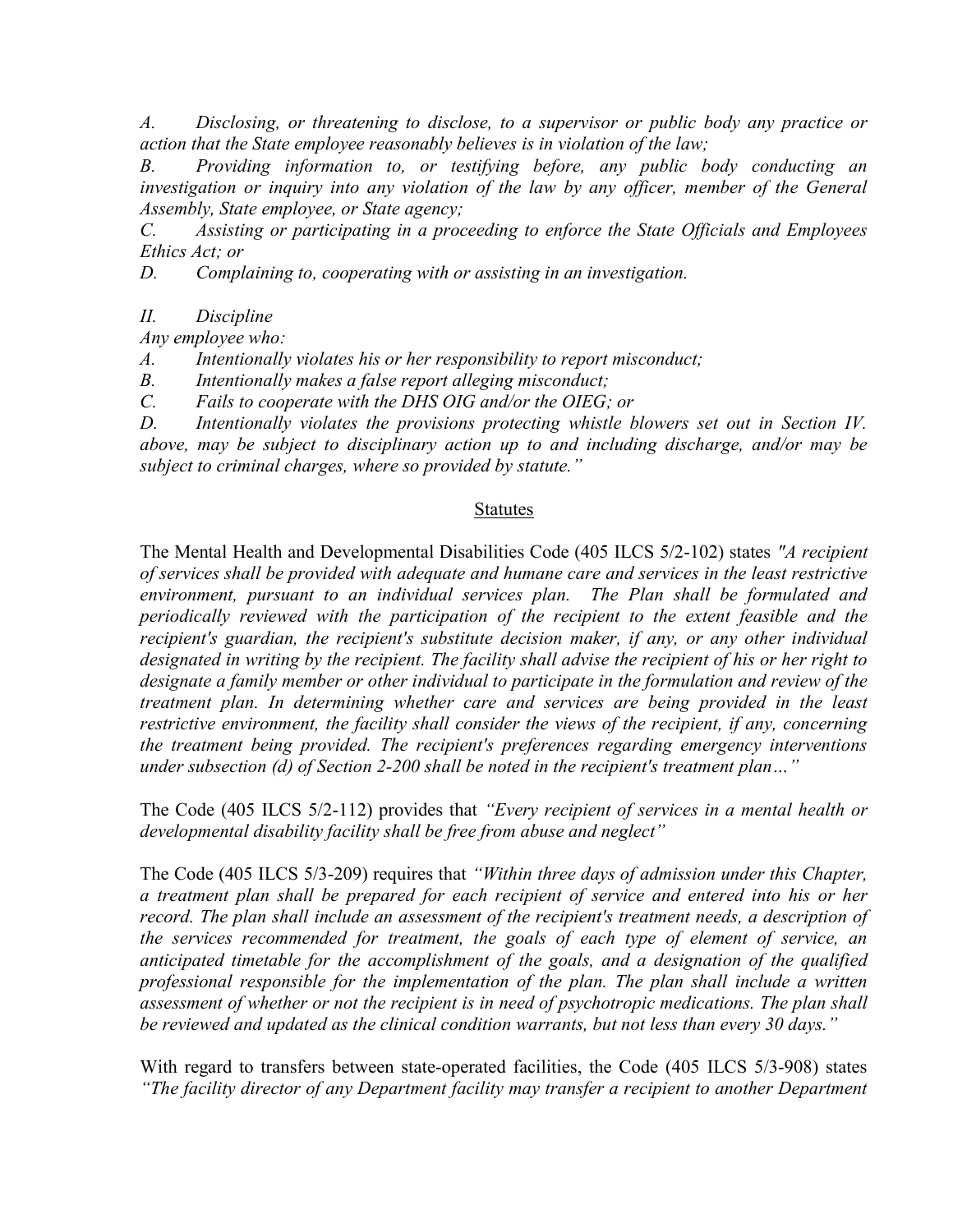A. Disclosing, or threatening to disclose, to a supervisor or public body any practice or action that the State employee reasonably believes is in violation of the law;

B. Providing information to, or testifying before, any public body conducting an investigation or inquiry into any violation of the law by any officer, member of the General Assembly, State employee, or State agency;

C. Assisting or participating in a proceeding to enforce the State Officials and Employees Ethics Act; or

D. Complaining to, cooperating with or assisting in an investigation.

II. Discipline

Any employee who:

A. Intentionally violates his or her responsibility to report misconduct;

B. Intentionally makes a false report alleging misconduct;

C. Fails to cooperate with the DHS OIG and/or the OIEG; or

D. Intentionally violates the provisions protecting whistle blowers set out in Section IV. above, may be subject to disciplinary action up to and including discharge, and/or may be subject to criminal charges, where so provided by statute."

#### Statutes

The Mental Health and Developmental Disabilities Code (405 ILCS 5/2-102) states "A recipient of services shall be provided with adequate and humane care and services in the least restrictive environment, pursuant to an individual services plan. The Plan shall be formulated and periodically reviewed with the participation of the recipient to the extent feasible and the recipient's guardian, the recipient's substitute decision maker, if any, or any other individual designated in writing by the recipient. The facility shall advise the recipient of his or her right to designate a family member or other individual to participate in the formulation and review of the treatment plan. In determining whether care and services are being provided in the least restrictive environment, the facility shall consider the views of the recipient, if any, concerning the treatment being provided. The recipient's preferences regarding emergency interventions under subsection (d) of Section 2-200 shall be noted in the recipient's treatment plan…"

The Code (405 ILCS 5/2-112) provides that "Every recipient of services in a mental health or developmental disability facility shall be free from abuse and neglect"

The Code (405 ILCS 5/3-209) requires that "Within three days of admission under this Chapter, a treatment plan shall be prepared for each recipient of service and entered into his or her record. The plan shall include an assessment of the recipient's treatment needs, a description of the services recommended for treatment, the goals of each type of element of service, an anticipated timetable for the accomplishment of the goals, and a designation of the qualified professional responsible for the implementation of the plan. The plan shall include a written assessment of whether or not the recipient is in need of psychotropic medications. The plan shall be reviewed and updated as the clinical condition warrants, but not less than every 30 days."

With regard to transfers between state-operated facilities, the Code (405 ILCS 5/3-908) states "The facility director of any Department facility may transfer a recipient to another Department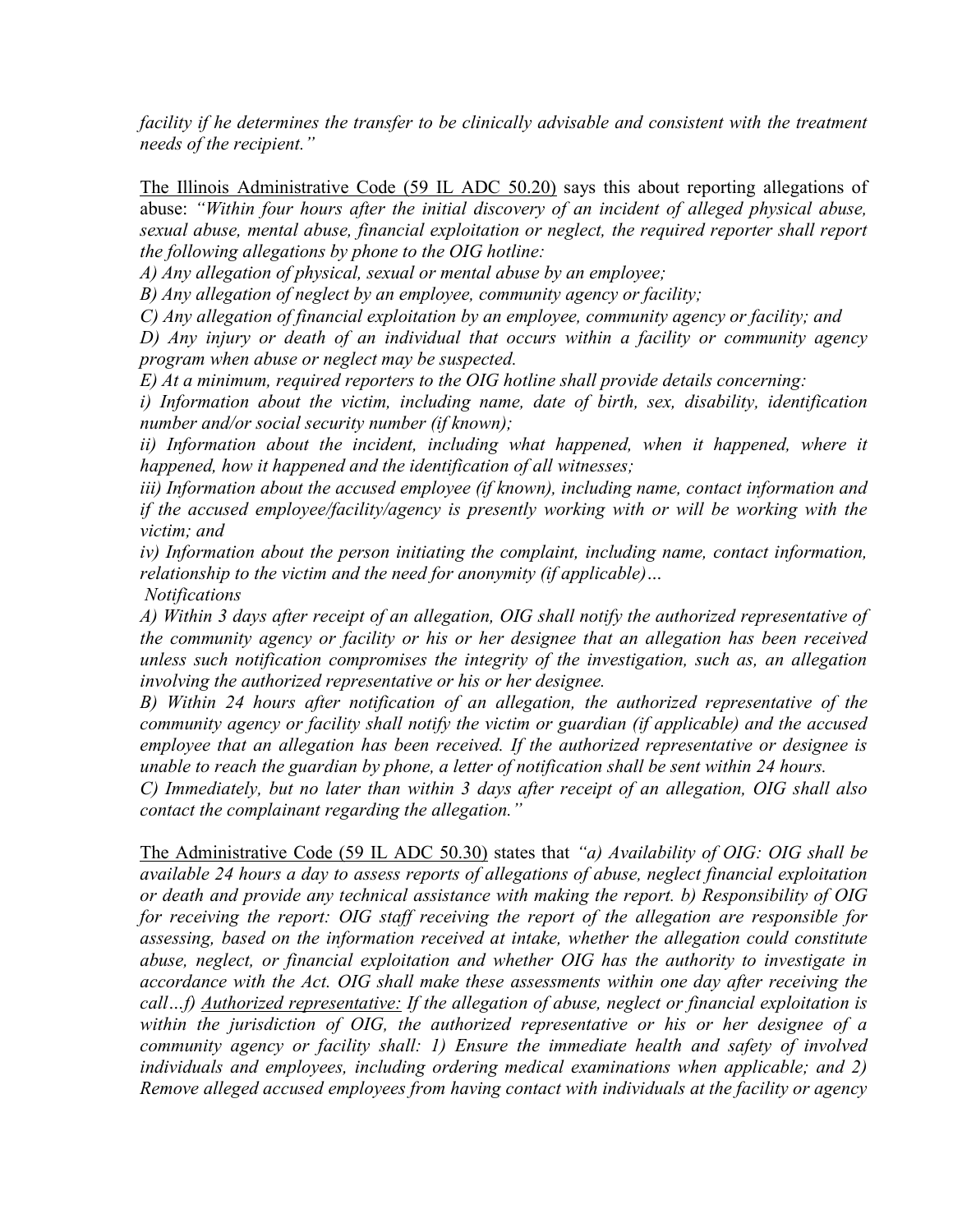facility if he determines the transfer to be clinically advisable and consistent with the treatment needs of the recipient."

The Illinois Administrative Code (59 IL ADC 50.20) says this about reporting allegations of abuse: "Within four hours after the initial discovery of an incident of alleged physical abuse, sexual abuse, mental abuse, financial exploitation or neglect, the required reporter shall report the following allegations by phone to the OIG hotline:

A) Any allegation of physical, sexual or mental abuse by an employee;

B) Any allegation of neglect by an employee, community agency or facility;

C) Any allegation of financial exploitation by an employee, community agency or facility; and

D) Any injury or death of an individual that occurs within a facility or community agency program when abuse or neglect may be suspected.

E) At a minimum, required reporters to the OIG hotline shall provide details concerning:

i) Information about the victim, including name, date of birth, sex, disability, identification number and/or social security number (if known);

ii) Information about the incident, including what happened, when it happened, where it happened, how it happened and the identification of all witnesses;

iii) Information about the accused employee (if known), including name, contact information and if the accused employee/facility/agency is presently working with or will be working with the victim; and

iv) Information about the person initiating the complaint, including name, contact information, relationship to the victim and the need for anonymity (if applicable)…

Notifications

A) Within 3 days after receipt of an allegation, OIG shall notify the authorized representative of the community agency or facility or his or her designee that an allegation has been received unless such notification compromises the integrity of the investigation, such as, an allegation involving the authorized representative or his or her designee.

B) Within 24 hours after notification of an allegation, the authorized representative of the community agency or facility shall notify the victim or guardian (if applicable) and the accused employee that an allegation has been received. If the authorized representative or designee is unable to reach the guardian by phone, a letter of notification shall be sent within 24 hours.

C) Immediately, but no later than within 3 days after receipt of an allegation, OIG shall also contact the complainant regarding the allegation."

The Administrative Code (59 IL ADC 50.30) states that "a) Availability of OIG: OIG shall be available 24 hours a day to assess reports of allegations of abuse, neglect financial exploitation or death and provide any technical assistance with making the report. b) Responsibility of OIG for receiving the report: OIG staff receiving the report of the allegation are responsible for assessing, based on the information received at intake, whether the allegation could constitute abuse, neglect, or financial exploitation and whether OIG has the authority to investigate in accordance with the Act. OIG shall make these assessments within one day after receiving the call...f) Authorized representative: If the allegation of abuse, neglect or financial exploitation is within the jurisdiction of OIG, the authorized representative or his or her designee of a community agency or facility shall: 1) Ensure the immediate health and safety of involved individuals and employees, including ordering medical examinations when applicable; and 2) Remove alleged accused employees from having contact with individuals at the facility or agency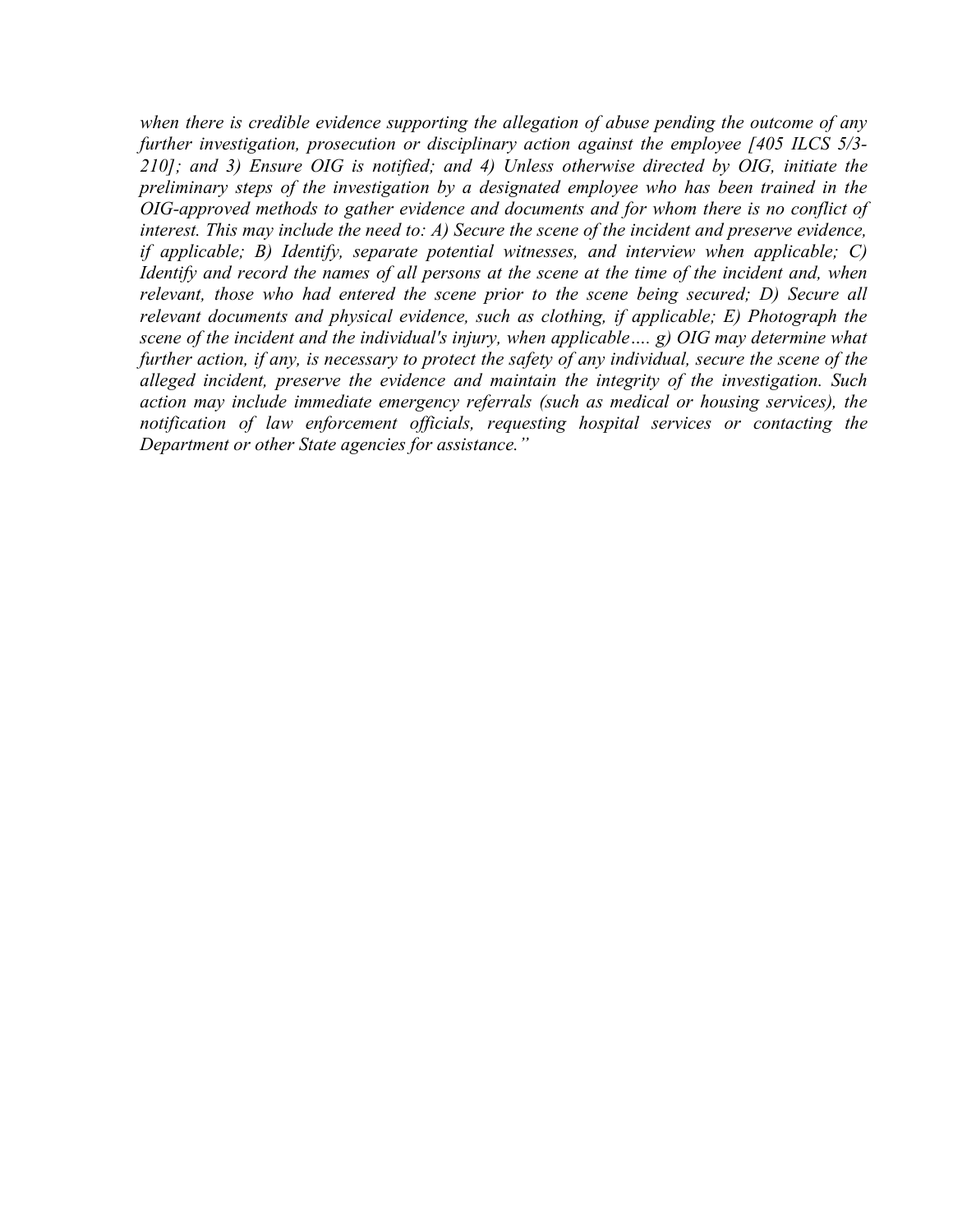when there is credible evidence supporting the allegation of abuse pending the outcome of any further investigation, prosecution or disciplinary action against the employee [405 ILCS 5/3- 210]; and 3) Ensure OIG is notified; and 4) Unless otherwise directed by OIG, initiate the preliminary steps of the investigation by a designated employee who has been trained in the OIG-approved methods to gather evidence and documents and for whom there is no conflict of interest. This may include the need to: A) Secure the scene of the incident and preserve evidence, if applicable; B) Identify, separate potential witnesses, and interview when applicable; C) Identify and record the names of all persons at the scene at the time of the incident and, when relevant, those who had entered the scene prior to the scene being secured; D) Secure all relevant documents and physical evidence, such as clothing, if applicable; E) Photograph the scene of the incident and the individual's injury, when applicable.... g) OIG may determine what further action, if any, is necessary to protect the safety of any individual, secure the scene of the alleged incident, preserve the evidence and maintain the integrity of the investigation. Such action may include immediate emergency referrals (such as medical or housing services), the notification of law enforcement officials, requesting hospital services or contacting the Department or other State agencies for assistance."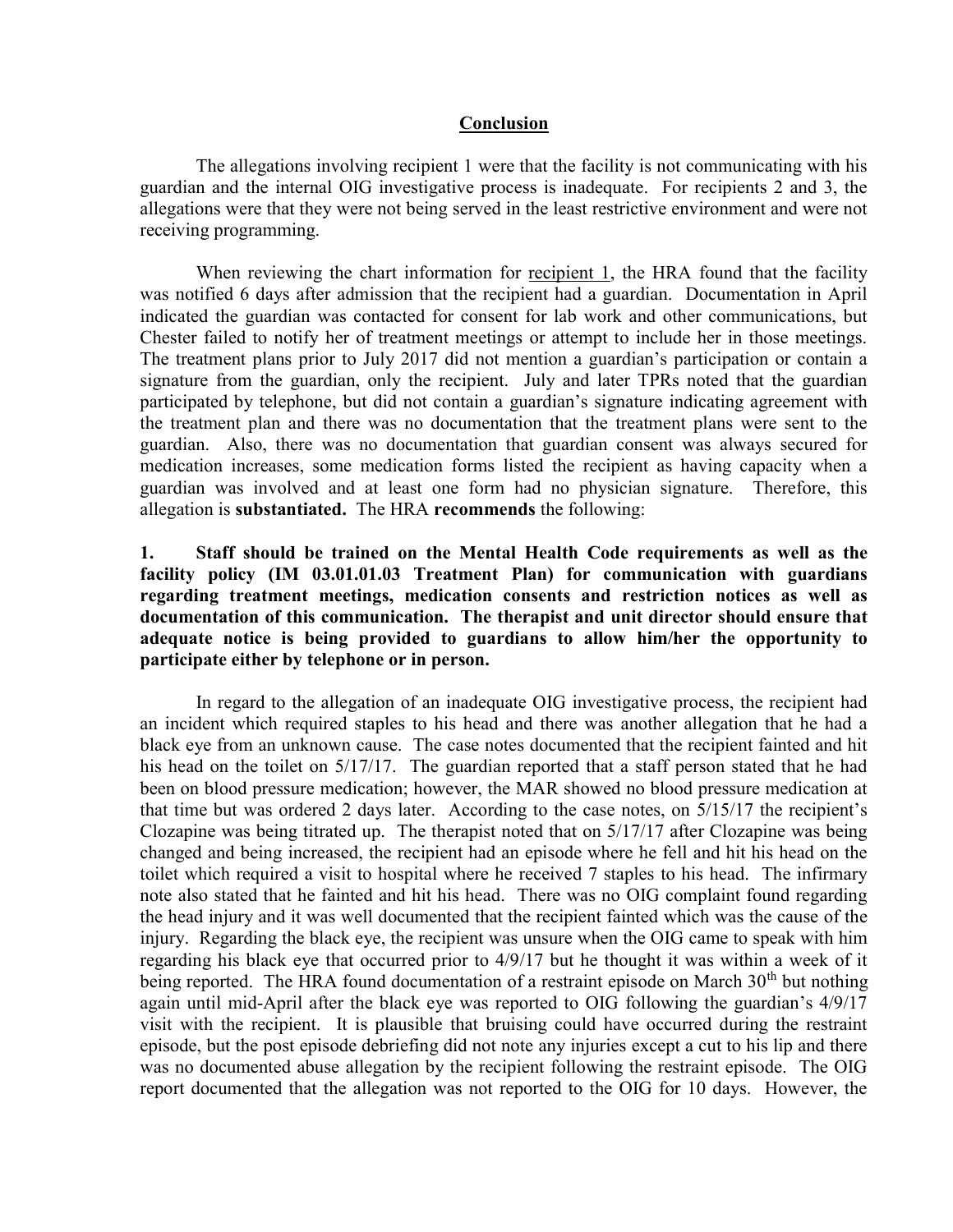#### Conclusion

 The allegations involving recipient 1 were that the facility is not communicating with his guardian and the internal OIG investigative process is inadequate. For recipients 2 and 3, the allegations were that they were not being served in the least restrictive environment and were not receiving programming.

 When reviewing the chart information for recipient 1, the HRA found that the facility was notified 6 days after admission that the recipient had a guardian. Documentation in April indicated the guardian was contacted for consent for lab work and other communications, but Chester failed to notify her of treatment meetings or attempt to include her in those meetings. The treatment plans prior to July 2017 did not mention a guardian's participation or contain a signature from the guardian, only the recipient. July and later TPRs noted that the guardian participated by telephone, but did not contain a guardian's signature indicating agreement with the treatment plan and there was no documentation that the treatment plans were sent to the guardian. Also, there was no documentation that guardian consent was always secured for medication increases, some medication forms listed the recipient as having capacity when a guardian was involved and at least one form had no physician signature. Therefore, this allegation is substantiated. The HRA recommends the following:

### 1. Staff should be trained on the Mental Health Code requirements as well as the facility policy (IM 03.01.01.03 Treatment Plan) for communication with guardians regarding treatment meetings, medication consents and restriction notices as well as documentation of this communication. The therapist and unit director should ensure that adequate notice is being provided to guardians to allow him/her the opportunity to participate either by telephone or in person.

 In regard to the allegation of an inadequate OIG investigative process, the recipient had an incident which required staples to his head and there was another allegation that he had a black eye from an unknown cause. The case notes documented that the recipient fainted and hit his head on the toilet on 5/17/17. The guardian reported that a staff person stated that he had been on blood pressure medication; however, the MAR showed no blood pressure medication at that time but was ordered 2 days later. According to the case notes, on 5/15/17 the recipient's Clozapine was being titrated up. The therapist noted that on 5/17/17 after Clozapine was being changed and being increased, the recipient had an episode where he fell and hit his head on the toilet which required a visit to hospital where he received 7 staples to his head. The infirmary note also stated that he fainted and hit his head. There was no OIG complaint found regarding the head injury and it was well documented that the recipient fainted which was the cause of the injury. Regarding the black eye, the recipient was unsure when the OIG came to speak with him regarding his black eye that occurred prior to 4/9/17 but he thought it was within a week of it being reported. The HRA found documentation of a restraint episode on March 30<sup>th</sup> but nothing again until mid-April after the black eye was reported to OIG following the guardian's 4/9/17 visit with the recipient. It is plausible that bruising could have occurred during the restraint episode, but the post episode debriefing did not note any injuries except a cut to his lip and there was no documented abuse allegation by the recipient following the restraint episode. The OIG report documented that the allegation was not reported to the OIG for 10 days. However, the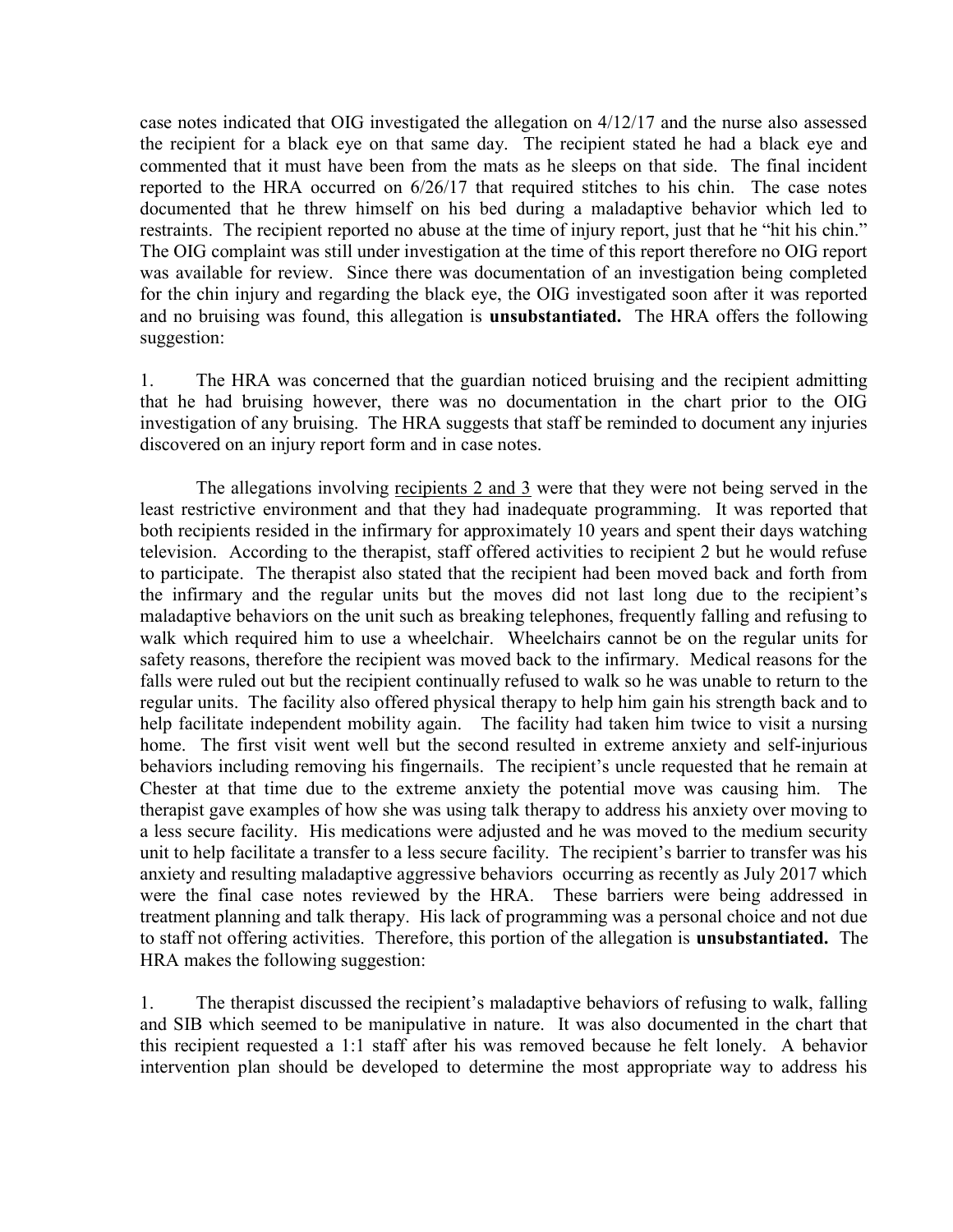case notes indicated that OIG investigated the allegation on 4/12/17 and the nurse also assessed the recipient for a black eye on that same day. The recipient stated he had a black eye and commented that it must have been from the mats as he sleeps on that side. The final incident reported to the HRA occurred on 6/26/17 that required stitches to his chin. The case notes documented that he threw himself on his bed during a maladaptive behavior which led to restraints. The recipient reported no abuse at the time of injury report, just that he "hit his chin." The OIG complaint was still under investigation at the time of this report therefore no OIG report was available for review. Since there was documentation of an investigation being completed for the chin injury and regarding the black eye, the OIG investigated soon after it was reported and no bruising was found, this allegation is **unsubstantiated.** The HRA offers the following suggestion:

1. The HRA was concerned that the guardian noticed bruising and the recipient admitting that he had bruising however, there was no documentation in the chart prior to the OIG investigation of any bruising. The HRA suggests that staff be reminded to document any injuries discovered on an injury report form and in case notes.

 The allegations involving recipients 2 and 3 were that they were not being served in the least restrictive environment and that they had inadequate programming. It was reported that both recipients resided in the infirmary for approximately 10 years and spent their days watching television. According to the therapist, staff offered activities to recipient 2 but he would refuse to participate. The therapist also stated that the recipient had been moved back and forth from the infirmary and the regular units but the moves did not last long due to the recipient's maladaptive behaviors on the unit such as breaking telephones, frequently falling and refusing to walk which required him to use a wheelchair. Wheelchairs cannot be on the regular units for safety reasons, therefore the recipient was moved back to the infirmary. Medical reasons for the falls were ruled out but the recipient continually refused to walk so he was unable to return to the regular units. The facility also offered physical therapy to help him gain his strength back and to help facilitate independent mobility again. The facility had taken him twice to visit a nursing home. The first visit went well but the second resulted in extreme anxiety and self-injurious behaviors including removing his fingernails. The recipient's uncle requested that he remain at Chester at that time due to the extreme anxiety the potential move was causing him. The therapist gave examples of how she was using talk therapy to address his anxiety over moving to a less secure facility. His medications were adjusted and he was moved to the medium security unit to help facilitate a transfer to a less secure facility. The recipient's barrier to transfer was his anxiety and resulting maladaptive aggressive behaviors occurring as recently as July 2017 which were the final case notes reviewed by the HRA. These barriers were being addressed in treatment planning and talk therapy. His lack of programming was a personal choice and not due to staff not offering activities. Therefore, this portion of the allegation is unsubstantiated. The HRA makes the following suggestion:

1. The therapist discussed the recipient's maladaptive behaviors of refusing to walk, falling and SIB which seemed to be manipulative in nature. It was also documented in the chart that this recipient requested a 1:1 staff after his was removed because he felt lonely. A behavior intervention plan should be developed to determine the most appropriate way to address his